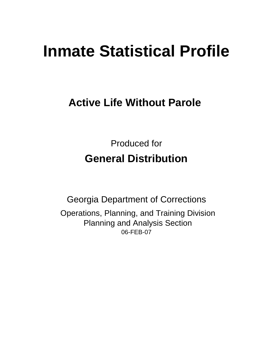# **Inmate Statistical Profile**

# **Active Life Without Parole**

Produced for **General Distribution**

06-FEB-07 Georgia Department of Corrections Operations, Planning, and Training Division Planning and Analysis Section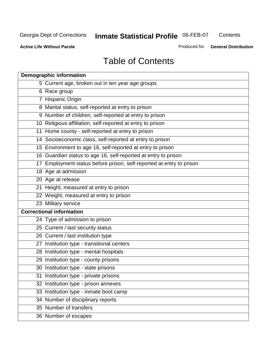**Contents** 

**Active Life Without Parole** 

Produced for **General Distribution**

# Table of Contents

| <b>Demographic information</b>                                       |
|----------------------------------------------------------------------|
| 5 Current age, broken out in ten year age groups                     |
| 6 Race group                                                         |
| 7 Hispanic Origin                                                    |
| 8 Marital status, self-reported at entry to prison                   |
| 9 Number of children, self-reported at entry to prison               |
| 10 Religious affiliation, self-reported at entry to prison           |
| 11 Home county - self-reported at entry to prison                    |
| 14 Socioeconomic class, self-reported at entry to prison             |
| 15 Environment to age 16, self-reported at entry to prison           |
| 16 Guardian status to age 16, self-reported at entry to prison       |
| 17 Employment status before prison, self-reported at entry to prison |
| 18 Age at admission                                                  |
| 20 Age at release                                                    |
| 21 Height, measured at entry to prison                               |
| 22 Weight, measured at entry to prison                               |
| 23 Military service                                                  |
| <b>Correctional information</b>                                      |
| 24 Type of admission to prison                                       |
| 25 Current / last security status                                    |
| 26 Current / last institution type                                   |
| 27 Institution type - transitional centers                           |
| 28 Institution type - mental hospitals                               |
| 29 Institution type - county prisons                                 |
| 30 Institution type - state prisons                                  |
| 31 Institution type - private prisons                                |
| 32 Institution type - prison annexes                                 |
| 33 Institution type - inmate boot camp                               |
| 34 Number of disciplinary reports                                    |
| 35 Number of transfers                                               |
| 36 Number of escapes                                                 |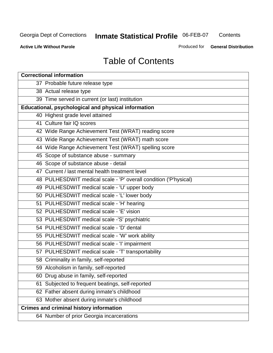**Contents** 

**Active Life Without Parole** 

Produced for **General Distribution**

# Table of Contents

| <b>Correctional information</b>                                  |
|------------------------------------------------------------------|
| 37 Probable future release type                                  |
| 38 Actual release type                                           |
| 39 Time served in current (or last) institution                  |
| Educational, psychological and physical information              |
| 40 Highest grade level attained                                  |
| 41 Culture fair IQ scores                                        |
| 42 Wide Range Achievement Test (WRAT) reading score              |
| 43 Wide Range Achievement Test (WRAT) math score                 |
| 44 Wide Range Achievement Test (WRAT) spelling score             |
| 45 Scope of substance abuse - summary                            |
| 46 Scope of substance abuse - detail                             |
| 47 Current / last mental health treatment level                  |
| 48 PULHESDWIT medical scale - 'P' overall condition ('P'hysical) |
| 49 PULHESDWIT medical scale - 'U' upper body                     |
| 50 PULHESDWIT medical scale - 'L' lower body                     |
| 51 PULHESDWIT medical scale - 'H' hearing                        |
| 52 PULHESDWIT medical scale - 'E' vision                         |
| 53 PULHESDWIT medical scale -'S' psychiatric                     |
| 54 PULHESDWIT medical scale - 'D' dental                         |
| 55 PULHESDWIT medical scale - 'W' work ability                   |
| 56 PULHESDWIT medical scale - 'I' impairment                     |
| 57 PULHESDWIT medical scale - 'T' transportability               |
| 58 Criminality in family, self-reported                          |
| 59 Alcoholism in family, self-reported                           |
| 60 Drug abuse in family, self-reported                           |
| 61 Subjected to frequent beatings, self-reported                 |
| 62 Father absent during inmate's childhood                       |
| 63 Mother absent during inmate's childhood                       |
| <b>Crimes and criminal history information</b>                   |
| 64 Number of prior Georgia incarcerations                        |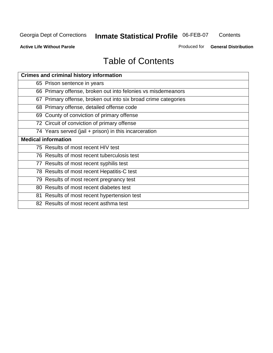**Contents** 

**Active Life Without Parole** 

Produced for **General Distribution**

# Table of Contents

| <b>Crimes and criminal history information</b>                 |
|----------------------------------------------------------------|
| 65 Prison sentence in years                                    |
| 66 Primary offense, broken out into felonies vs misdemeanors   |
| 67 Primary offense, broken out into six broad crime categories |
| 68 Primary offense, detailed offense code                      |
| 69 County of conviction of primary offense                     |
| 72 Circuit of conviction of primary offense                    |
| 74 Years served (jail + prison) in this incarceration          |
| <b>Medical information</b>                                     |
| 75 Results of most recent HIV test                             |
| 76 Results of most recent tuberculosis test                    |
| 77 Results of most recent syphilis test                        |
| 78 Results of most recent Hepatitis-C test                     |
| 79 Results of most recent pregnancy test                       |
| 80 Results of most recent diabetes test                        |
| 81 Results of most recent hypertension test                    |
| 82 Results of most recent asthma test                          |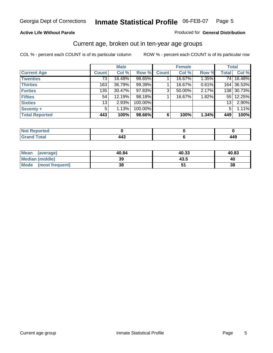#### **Active Life Without Parole**

#### Produced for **General Distribution**

#### Current age, broken out in ten-year age groups

|                       |              | <b>Male</b> |         |              | <b>Female</b> |       |                 | <b>Total</b> |
|-----------------------|--------------|-------------|---------|--------------|---------------|-------|-----------------|--------------|
| <b>Current Age</b>    | <b>Count</b> | Col %       | Row %   | <b>Count</b> | Col %         | Row % | <b>Total</b>    | Col %        |
| <b>Twenties</b>       | 73           | 16.48%      | 98.65%  |              | 16.67%        | 1.35% | 74 I            | 16.48%       |
| <b>Thirties</b>       | 163          | 36.79%      | 99.39%  |              | 16.67%        | 0.61% |                 | 164 36.53%   |
| <b>Forties</b>        | 135          | $30.47\%$   | 97.83%  | 3            | 50.00%        | 2.17% |                 | 138 30.73%   |
| <b>Fifties</b>        | 54           | 12.19%      | 98.18%  |              | 16.67%        | 1.82% |                 | 55 12.25%    |
| <b>Sixties</b>        | 13           | 2.93%       | 100.00% |              |               |       | 13 <sub>1</sub> | 2.90%        |
| Seventy +             | 5            | 1.13%       | 100.00% |              |               |       | 5               | 1.11%        |
| <b>Total Reported</b> | 443          | 100%        | 98.66%  | 6            | 100%          | 1.34% | 449             | 100%         |

| <b>Not Reported</b>              |     |     |
|----------------------------------|-----|-----|
| <b>Total</b><br>$\mathbf{v}$ and | 443 | 449 |

| Mean (average)       | 40.84 | 40.33 | 40.83 |
|----------------------|-------|-------|-------|
| Median (middle)      | 39    | 43.5  | 40    |
| Mode (most frequent) | 38    |       | 38    |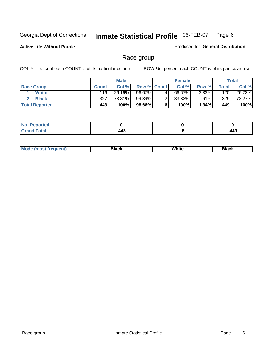**Active Life Without Parole** 

Produced for **General Distribution**

#### Race group

|                       |              | <b>Male</b> |                    |   | <b>Female</b> |          |         | <b>Total</b> |
|-----------------------|--------------|-------------|--------------------|---|---------------|----------|---------|--------------|
| <b>Race Group</b>     | <b>Count</b> | Col %       | <b>Row % Count</b> |   | Col %         | Row %    | Total . | Col %        |
| <b>White</b>          | 116          | 26.19%      | 96.67%             | 4 | 66.67%        | $3.33\%$ | 120     | 26.73%       |
| <b>Black</b>          | 327          | 73.81%      | 99.39%             |   | $33.33\%$     | .61%     | 329     | 73.27%       |
| <b>Total Reported</b> | 443          | 100%        | 98.66%I            |   | 100%          | $1.34\%$ | 449     | 100%         |

| eported<br>$\sim$ . The set of $\sim$ |                  |            |
|---------------------------------------|------------------|------------|
| $i$ nta $i$<br>$ -$                   | -46<br>443<br>__ | <br>$\sim$ |

| $^1$ Mo. | Rlack | White | 3lack |
|----------|-------|-------|-------|
| .        |       |       |       |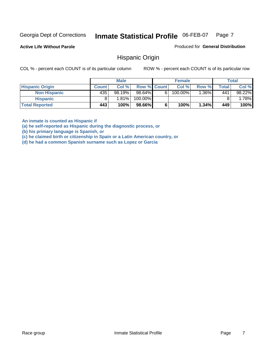Produced for **General Distribution**

**Active Life Without Parole** 

Hispanic Origin

COL % - percent each COUNT is of its particular column ROW % - percent each COUNT is of its particular row

|                        |              | <b>Male</b> |                    |    | <b>Female</b> |         |       | <b>Total</b> |
|------------------------|--------------|-------------|--------------------|----|---------------|---------|-------|--------------|
| <b>Hispanic Origin</b> | <b>Count</b> | Col %       | <b>Row % Count</b> |    | Col %         | Row %   | Total | Col %        |
| <b>Non Hispanic</b>    | 435          | 98.19%      | 98.64%             | 61 | 100.00%       | $.36\%$ | 441   | 98.22%       |
| Hispanic               |              | 1.81%       | 100.00%            |    |               |         |       | .78%         |
| <b>Total Reported</b>  | 443          | 100%        | 98.66%             |    | 100%          | 1.34%   | 449   | 100%         |

**An inmate is counted as Hispanic if** 

**(a) he self-reported as Hispanic during the diagnostic process, or** 

**(b) his primary language is Spanish, or** 

**(c) he claimed birth or citizenship in Spain or a Latin American country, or** 

**(d) he had a common Spanish surname such as Lopez or Garcia**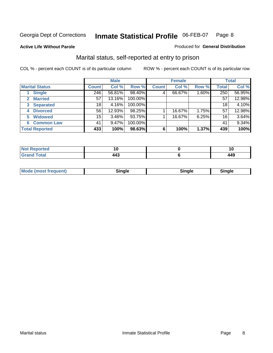**Active Life Without Parole** 

#### Produced for **General Distribution**

#### Marital status, self-reported at entry to prison

|                        | <b>Male</b>  |          |         | <b>Female</b> |        |       | <b>Total</b>    |        |
|------------------------|--------------|----------|---------|---------------|--------|-------|-----------------|--------|
| <b>Marital Status</b>  | <b>Count</b> | Col %    | Row %   | <b>Count</b>  | Col %  | Row % | <b>Total</b>    | Col %  |
| <b>Single</b>          | 246          | 56.81%   | 98.40%  | 4             | 66.67% | 1.60% | 250             | 56.95% |
| <b>Married</b><br>2.   | 57           | 13.16%   | 100.00% |               |        |       | 57              | 12.98% |
| <b>Separated</b><br>3  | 18           | 4.16%    | 100.00% |               |        |       | 18              | 4.10%  |
| <b>Divorced</b><br>4   | 56           | 12.93%   | 98.25%  |               | 16.67% | 1.75% | 57              | 12.98% |
| <b>Widowed</b><br>5    | 15           | $3.46\%$ | 93.75%  |               | 16.67% | 6.25% | 16 <sub>1</sub> | 3.64%  |
| <b>Common Law</b><br>6 | 41           | 9.47%    | 100.00% |               |        |       | 41              | 9.34%  |
| <b>Total Reported</b>  | 433          | 100%     | 98.63%  | 6             | 100%   | 1.37% | 439             | 100%   |

|                      | 1 U   |
|----------------------|-------|
| . .<br>т-т<br>$\sim$ | . A C |

| <b>Mode (most frequent)</b><br>Sinale<br>™ale |
|-----------------------------------------------|
|-----------------------------------------------|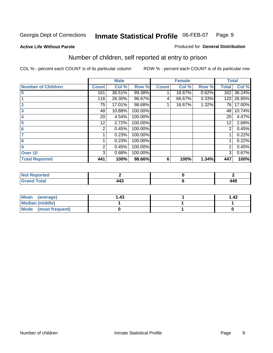#### **Active Life Without Parole**

#### Produced for **General Distribution**

### Number of children, self reported at entry to prison

|                           |              | <b>Male</b> |         |              | <b>Female</b> |       | <b>Total</b> |        |
|---------------------------|--------------|-------------|---------|--------------|---------------|-------|--------------|--------|
| <b>Number of Children</b> | <b>Count</b> | Col %       | Row %   | <b>Count</b> | Col %         | Row % | <b>Total</b> | Col %  |
| $\bf{0}$                  | 161          | 36.51%      | 99.38%  |              | 16.67%        | 0.62% | 162          | 36.24% |
|                           | 116          | 26.30%      | 96.67%  | 4            | 66.67%        | 3.33% | 120          | 26.85% |
| $\overline{2}$            | 75           | 17.01%      | 98.68%  |              | 16.67%        | 1.32% | 76 I         | 17.00% |
| 3                         | 48           | 10.88%      | 100.00% |              |               |       | 48           | 10.74% |
| 4                         | 20           | 4.54%       | 100.00% |              |               |       | 20           | 4.47%  |
| 5                         | 12.          | 2.72%       | 100.00% |              |               |       | 12           | 2.68%  |
| 6                         | 2            | 0.45%       | 100.00% |              |               |       | 2            | 0.45%  |
|                           |              | 0.23%       | 100.00% |              |               |       |              | 0.22%  |
| 8                         |              | 0.23%       | 100.00% |              |               |       |              | 0.22%  |
| 9                         | 2            | 0.45%       | 100.00% |              |               |       | 2            | 0.45%  |
| Over 10                   | 3            | 0.68%       | 100.00% |              |               |       | 3            | 0.67%  |
| <b>Total Reported</b>     | 441          | 100%        | 98.66%  | 6            | 100%          | 1.34% | 447          | 100%   |

| للمستقصاء<br>теа<br>N<br>. |         |     |
|----------------------------|---------|-----|
| $T = 4$<br>---<br>-        | .<br>-- | 449 |

| Mean (average)         | .43 | 1.42 |
|------------------------|-----|------|
| <b>Median (middle)</b> |     |      |
| Mode (most frequent)   |     |      |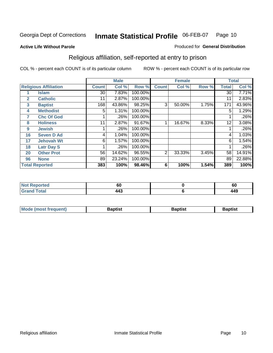#### **Active Life Without Parole**

#### Produced for **General Distribution**

### Religious affiliation, self-reported at entry to prison

|              |                              |              | <b>Male</b> |         |              | <b>Female</b> |       |              | <b>Total</b> |
|--------------|------------------------------|--------------|-------------|---------|--------------|---------------|-------|--------------|--------------|
|              | <b>Religious Affiliation</b> | <b>Count</b> | Col %       | Row %   | <b>Count</b> | Col %         | Row % | <b>Total</b> | Col %        |
|              | <b>Islam</b>                 | 30           | 7.83%       | 100.00% |              |               |       | 30           | 7.71%        |
| $\mathbf{2}$ | <b>Catholic</b>              | 11           | 2.87%       | 100.00% |              |               |       | 11           | 2.83%        |
| 3            | <b>Baptist</b>               | 168          | 43.86%      | 98.25%  | 3            | 50.00%        | 1.75% | 171          | 43.96%       |
| 4            | <b>Methodist</b>             | 5            | 1.31%       | 100.00% |              |               |       | 5            | 1.29%        |
| 7            | <b>Chc Of God</b>            |              | .26%        | 100.00% |              |               |       |              | .26%         |
| 8            | <b>Holiness</b>              | 11           | 2.87%       | 91.67%  |              | 16.67%        | 8.33% | 12           | 3.08%        |
| 9            | <b>Jewish</b>                |              | .26%        | 100.00% |              |               |       |              | .26%         |
| 16           | <b>Seven D Ad</b>            | 4            | 1.04%       | 100.00% |              |               |       | 4            | 1.03%        |
| 17           | <b>Jehovah Wt</b>            | 6            | 1.57%       | 100.00% |              |               |       | 6            | 1.54%        |
| 18           | <b>Latr Day S</b>            |              | .26%        | 100.00% |              |               |       |              | .26%         |
| 20           | <b>Other Prot</b>            | 56           | 14.62%      | 96.55%  | 2            | 33.33%        | 3.45% | 58           | 14.91%       |
| 96           | <b>None</b>                  | 89           | 23.24%      | 100.00% |              |               |       | 89           | 22.88%       |
|              | <b>Total Reported</b>        | 383          | 100%        | 98.46%  | 6            | 100%          | 1.54% | 389          | 100%         |

| <b>ported</b> | υu             | υu  |
|---------------|----------------|-----|
| 'otal         | $\overline{ }$ | 449 |

| ' Mo<br>went | <b>}aptist</b> | Baptist<br>$ -$ | <b>Baptist</b> |
|--------------|----------------|-----------------|----------------|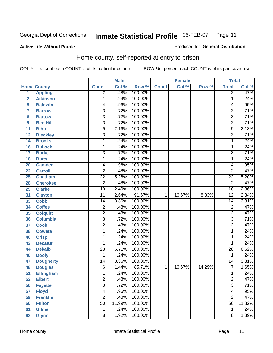#### **Active Life Without Parole**

#### Produced for **General Distribution**

#### Home county, self-reported at entry to prison

|                 |                    |                 | <b>Male</b> |         |              | <b>Female</b> |        | <b>Total</b>    |        |
|-----------------|--------------------|-----------------|-------------|---------|--------------|---------------|--------|-----------------|--------|
|                 | <b>Home County</b> | <b>Count</b>    | Col %       | Row %   | <b>Count</b> | Col %         | Row %  | <b>Total</b>    | Col %  |
| 1               | <b>Appling</b>     | $\overline{2}$  | .48%        | 100.00% |              |               |        | $\overline{2}$  | .47%   |
| $\overline{2}$  | <b>Atkinson</b>    | 1               | .24%        | 100.00% |              |               |        | 1               | .24%   |
| 5               | <b>Baldwin</b>     | 4               | .96%        | 100.00% |              |               |        | 4               | .95%   |
| $\overline{7}$  | <b>Barrow</b>      | $\overline{3}$  | .72%        | 100.00% |              |               |        | $\overline{3}$  | .71%   |
| 8               | <b>Bartow</b>      | $\overline{3}$  | .72%        | 100.00% |              |               |        | $\overline{3}$  | .71%   |
| 9               | <b>Ben Hill</b>    | $\overline{3}$  | .72%        | 100.00% |              |               |        | $\overline{3}$  | .71%   |
| 11              | <b>Bibb</b>        | $\overline{9}$  | 2.16%       | 100.00% |              |               |        | $\overline{9}$  | 2.13%  |
| 12              | <b>Bleckley</b>    | 3               | .72%        | 100.00% |              |               |        | $\overline{3}$  | .71%   |
| 14              | <b>Brooks</b>      | 1               | .24%        | 100.00% |              |               |        | 1               | .24%   |
| 16              | <b>Bulloch</b>     | 1               | .24%        | 100.00% |              |               |        | 1               | .24%   |
| 17              | <b>Burke</b>       | $\overline{3}$  | .72%        | 100.00% |              |               |        | $\overline{3}$  | .71%   |
| 18              | <b>Butts</b>       | 1               | .24%        | 100.00% |              |               |        | 1               | .24%   |
| 20              | <b>Camden</b>      | 4               | .96%        | 100.00% |              |               |        | 4               | .95%   |
| 22              | <b>Carroll</b>     | $\overline{2}$  | .48%        | 100.00% |              |               |        | $\overline{2}$  | .47%   |
| 25              | <b>Chatham</b>     | $\overline{22}$ | 5.28%       | 100.00% |              |               |        | $\overline{22}$ | 5.20%  |
| 28              | <b>Cherokee</b>    | $\overline{2}$  | .48%        | 100.00% |              |               |        | $\overline{2}$  | .47%   |
| 29              | <b>Clarke</b>      | $\overline{10}$ | 2.40%       | 100.00% |              |               |        | $\overline{10}$ | 2.36%  |
| 31              | <b>Clayton</b>     | $\overline{11}$ | 2.64%       | 91.67%  | $\mathbf{1}$ | 16.67%        | 8.33%  | $\overline{12}$ | 2.84%  |
| 33              | <b>Cobb</b>        | 14              | 3.36%       | 100.00% |              |               |        | $\overline{14}$ | 3.31%  |
| 34              | <b>Coffee</b>      | $\overline{2}$  | .48%        | 100.00% |              |               |        | $\overline{2}$  | .47%   |
| 35              | <b>Colquitt</b>    | $\overline{2}$  | .48%        | 100.00% |              |               |        | $\overline{2}$  | .47%   |
| 36              | <b>Columbia</b>    | $\overline{3}$  | .72%        | 100.00% |              |               |        | $\overline{3}$  | .71%   |
| 37              | <b>Cook</b>        | $\overline{2}$  | .48%        | 100.00% |              |               |        | $\overline{2}$  | .47%   |
| 38              | <b>Coweta</b>      | 1               | .24%        | 100.00% |              |               |        | 1               | .24%   |
| 40              | <b>Crisp</b>       | 1               | .24%        | 100.00% |              |               |        | 1               | .24%   |
| 43              | <b>Decatur</b>     | 1               | .24%        | 100.00% |              |               |        | 1               | .24%   |
| 44              | <b>Dekalb</b>      | $\overline{28}$ | 6.71%       | 100.00% |              |               |        | $\overline{28}$ | 6.62%  |
| 46              | <b>Dooly</b>       | 1               | .24%        | 100.00% |              |               |        | 1               | .24%   |
| 47              | <b>Dougherty</b>   | 14              | 3.36%       | 100.00% |              |               |        | $\overline{14}$ | 3.31%  |
| 48              | <b>Douglas</b>     | $\overline{6}$  | 1.44%       | 85.71%  | $\mathbf{1}$ | 16.67%        | 14.29% | 7               | 1.65%  |
| $\overline{51}$ | <b>Effingham</b>   | 1               | .24%        | 100.00% |              |               |        | 1               | .24%   |
| 52              | <b>Elbert</b>      | $\overline{c}$  | .48%        | 100.00% |              |               |        | $\overline{c}$  | .47%   |
| 56              | <b>Fayette</b>     | $\overline{3}$  | .72%        | 100.00% |              |               |        | $\overline{3}$  | .71%   |
| 57              | <b>Floyd</b>       | $\overline{4}$  | .96%        | 100.00% |              |               |        | 4               | .95%   |
| 59              | <b>Franklin</b>    | $\overline{2}$  | .48%        | 100.00% |              |               |        | $\overline{2}$  | .47%   |
| 60              | <b>Fulton</b>      | $\overline{50}$ | 11.99%      | 100.00% |              |               |        | $\overline{50}$ | 11.82% |
| 61              | <b>Gilmer</b>      | 1               | .24%        | 100.00% |              |               |        | 1               | .24%   |
| 63              | <b>Glynn</b>       | $\overline{8}$  | 1.92%       | 100.00% |              |               |        | 8               | 1.89%  |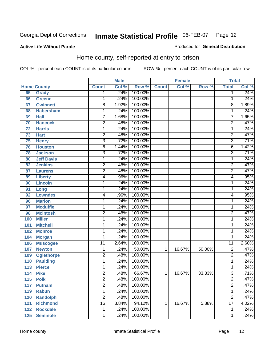#### **Active Life Without Parole**

#### Produced for **General Distribution**

#### Home county, self-reported at entry to prison

|     |                    |                 | <b>Male</b> |         |              | <b>Female</b> |        | <b>Total</b>    |       |
|-----|--------------------|-----------------|-------------|---------|--------------|---------------|--------|-----------------|-------|
|     | <b>Home County</b> | <b>Count</b>    | Col %       | Row %   | <b>Count</b> | Col %         | Row %  | <b>Total</b>    | Col % |
| 65  | <b>Grady</b>       | 1               | .24%        | 100.00% |              |               |        | 1               | .24%  |
| 66  | <b>Greene</b>      | 1               | .24%        | 100.00% |              |               |        | 1               | .24%  |
| 67  | <b>Gwinnett</b>    | $\overline{8}$  | 1.92%       | 100.00% |              |               |        | 8               | 1.89% |
| 68  | <b>Habersham</b>   | 1               | .24%        | 100.00% |              |               |        | 1               | .24%  |
| 69  | $H$ all            | 7               | 1.68%       | 100.00% |              |               |        | 7               | 1.65% |
| 70  | <b>Hancock</b>     | $\overline{2}$  | .48%        | 100.00% |              |               |        | $\overline{2}$  | .47%  |
| 72  | <b>Harris</b>      | $\mathbf{1}$    | .24%        | 100.00% |              |               |        | $\mathbf{1}$    | .24%  |
| 73  | <b>Hart</b>        | 2               | .48%        | 100.00% |              |               |        | $\overline{2}$  | .47%  |
| 75  | <b>Henry</b>       | 3               | .72%        | 100.00% |              |               |        | $\overline{3}$  | .71%  |
| 76  | <b>Houston</b>     | 6               | 1.44%       | 100.00% |              |               |        | 6               | 1.42% |
| 78  | <b>Jackson</b>     | $\overline{3}$  | .72%        | 100.00% |              |               |        | $\overline{3}$  | .71%  |
| 80  | <b>Jeff Davis</b>  | $\mathbf{1}$    | .24%        | 100.00% |              |               |        | 1               | .24%  |
| 82  | <b>Jenkins</b>     | $\overline{2}$  | .48%        | 100.00% |              |               |        | $\overline{2}$  | .47%  |
| 87  | <b>Laurens</b>     | $\overline{2}$  | .48%        | 100.00% |              |               |        | $\overline{2}$  | .47%  |
| 89  | <b>Liberty</b>     | 4               | .96%        | 100.00% |              |               |        | 4               | .95%  |
| 90  | <b>Lincoln</b>     | 1               | .24%        | 100.00% |              |               |        | 1               | .24%  |
| 91  | Long               | 1               | .24%        | 100.00% |              |               |        | 1               | .24%  |
| 92  | <b>Lowndes</b>     | 4               | .96%        | 100.00% |              |               |        | 4               | .95%  |
| 96  | <b>Marion</b>      | $\mathbf{1}$    | .24%        | 100.00% |              |               |        | 1               | .24%  |
| 97  | <b>Mcduffie</b>    | $\mathbf{1}$    | .24%        | 100.00% |              |               |        | 1               | .24%  |
| 98  | <b>Mcintosh</b>    | $\overline{2}$  | .48%        | 100.00% |              |               |        | $\overline{2}$  | .47%  |
| 100 | <b>Miller</b>      | 1               | .24%        | 100.00% |              |               |        | 1               | .24%  |
| 101 | <b>Mitchell</b>    | 1               | .24%        | 100.00% |              |               |        | 1               | .24%  |
| 102 | <b>Monroe</b>      | 1               | .24%        | 100.00% |              |               |        | 1               | .24%  |
| 104 | <b>Morgan</b>      | 1               | .24%        | 100.00% |              |               |        | 1               | .24%  |
| 106 | <b>Muscogee</b>    | $\overline{11}$ | 2.64%       | 100.00% |              |               |        | 11              | 2.60% |
| 107 | <b>Newton</b>      | 1               | .24%        | 50.00%  | 1            | 16.67%        | 50.00% | $\overline{2}$  | .47%  |
| 109 | <b>Oglethorpe</b>  | $\overline{2}$  | .48%        | 100.00% |              |               |        | $\overline{2}$  | .47%  |
| 110 | <b>Paulding</b>    | $\mathbf{1}$    | .24%        | 100.00% |              |               |        | 1               | .24%  |
| 113 | <b>Pierce</b>      | 1               | .24%        | 100.00% |              |               |        | 1               | .24%  |
| 114 | <b>Pike</b>        | $\overline{2}$  | .48%        | 66.67%  | 1            | 16.67%        | 33.33% | $\overline{3}$  | .71%  |
| 115 | <b>Polk</b>        | 2               | .48%        | 100.00% |              |               |        | $\overline{c}$  | .47%  |
| 117 | <b>Putnam</b>      | $\overline{2}$  | .48%        | 100.00% |              |               |        | $\overline{2}$  | .47%  |
| 119 | <b>Rabun</b>       | $\mathbf{1}$    | .24%        | 100.00% |              |               |        | 1               | .24%  |
| 120 | <b>Randolph</b>    | $\overline{2}$  | .48%        | 100.00% |              |               |        | $\overline{2}$  | .47%  |
| 121 | <b>Richmond</b>    | $\overline{16}$ | 3.84%       | 94.12%  | 1            | 16.67%        | 5.88%  | $\overline{17}$ | 4.02% |
| 122 | <b>Rockdale</b>    | $\mathbf{1}$    | .24%        | 100.00% |              |               |        | 1               | .24%  |
| 125 | <b>Seminole</b>    | $\overline{1}$  | .24%        | 100.00% |              |               |        | $\mathbf{1}$    | .24%  |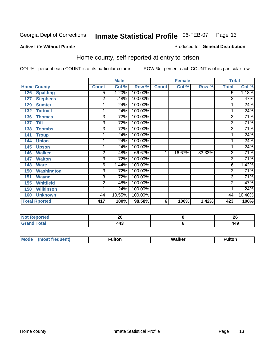#### **Active Life Without Parole**

#### Produced for **General Distribution**

#### Home county, self-reported at entry to prison

|                          | <b>Male</b>    |        |         | <b>Female</b> |        |        | <b>Total</b>   |        |
|--------------------------|----------------|--------|---------|---------------|--------|--------|----------------|--------|
| <b>Home County</b>       | <b>Count</b>   | Col %  | Row %   | <b>Count</b>  | Col %  | Row %  | <b>Total</b>   | Col %  |
| 126<br><b>Spalding</b>   | 5              | 1.20%  | 100.00% |               |        |        | $\overline{5}$ | 1.18%  |
| <b>Stephens</b><br>127   | 2              | .48%   | 100.00% |               |        |        | $\overline{2}$ | .47%   |
| <b>Sumter</b><br>129     | 1              | .24%   | 100.00% |               |        |        |                | .24%   |
| <b>Tattnall</b><br>132   | 1              | .24%   | 100.00% |               |        |        |                | .24%   |
| 136<br><b>Thomas</b>     | 3              | .72%   | 100.00% |               |        |        | 3              | .71%   |
| <b>Tift</b><br>137       | 3              | .72%   | 100.00% |               |        |        | 3              | .71%   |
| <b>Toombs</b><br>138     | 3              | .72%   | 100.00% |               |        |        | 3              | .71%   |
| <b>Troup</b><br>141      |                | .24%   | 100.00% |               |        |        |                | .24%   |
| <b>Union</b><br>144      | 1              | .24%   | 100.00% |               |        |        |                | .24%   |
| 145<br><b>Upson</b>      | 1              | .24%   | 100.00% |               |        |        |                | .24%   |
| <b>Walker</b><br>146     | $\overline{2}$ | .48%   | 66.67%  | 1             | 16.67% | 33.33% | 3              | .71%   |
| <b>Walton</b><br>147     | $\overline{3}$ | .72%   | 100.00% |               |        |        | 3              | .71%   |
| <b>Ware</b><br>148       | 6              | 1.44%  | 100.00% |               |        |        | 6              | 1.42%  |
| 150<br><b>Washington</b> | 3              | .72%   | 100.00% |               |        |        | 3              | .71%   |
| <b>Wayne</b><br>151      | 3              | .72%   | 100.00% |               |        |        | 3              | .71%   |
| <b>Whitfield</b><br>155  | 2              | .48%   | 100.00% |               |        |        | 2              | .47%   |
| <b>Wilkinson</b><br>158  | 1              | .24%   | 100.00% |               |        |        |                | .24%   |
| <b>Unknown</b><br>160    | 44             | 10.55% | 100.00% |               |        |        | 44             | 10.40% |
| <b>Total Rported</b>     | 417            | 100%   | 98.58%  | 6             | 100%   | 1.42%  | 423            | 100%   |

| <b>NO</b>                                                | ^^       | n,              |
|----------------------------------------------------------|----------|-----------------|
| rtea                                                     | Zu       | ZU              |
| nta<br>$\sim$<br>-<br>$\sim$ $\sim$ $\sim$ $\sim$ $\sim$ | <u>.</u> | . A (<br>$\sim$ |

| <b>Mo</b><br>$\cdots$ | --- | w | ullui |
|-----------------------|-----|---|-------|
|                       |     |   |       |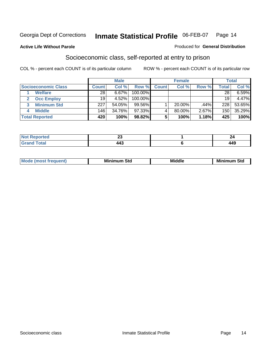#### **Active Life Without Parole**

#### Produced for **General Distribution**

#### Socioeconomic class, self-reported at entry to prison

|                            | <b>Male</b>  |        |            | <b>Female</b> |           |       | <b>Total</b> |        |
|----------------------------|--------------|--------|------------|---------------|-----------|-------|--------------|--------|
| <b>Socioeconomic Class</b> | <b>Count</b> | Col %  | Row %      | <b>Count</b>  | Col %     | Row % | Total        | Col %  |
| <b>Welfare</b>             | 28           | 6.67%  | 100.00%    |               |           |       | 28           | 6.59%  |
| <b>Occ Employ</b>          | 19           | 4.52%  | $100.00\%$ |               |           |       | 19           | 4.47%  |
| <b>Minimum Std</b>         | 227          | 54.05% | 99.56%     |               | $20.00\%$ | .44%  | 228          | 53.65% |
| <b>Middle</b>              | 146          | 34.76% | 97.33%I    |               | 80.00%    | 2.67% | 150          | 35.29% |
| <b>Total Reported</b>      | 420          | 100%   | 98.82%     |               | 100%      | 1.18% | 425          | 100%   |

| тео            | ~~<br>⊷<br>-- |                                 |
|----------------|---------------|---------------------------------|
| υιαι<br>______ |               | $\overline{\phantom{a}}$<br>--- |

| M<br>Mir<br>Mil<br><b>Middle</b><br><b>C</b> ta<br>Sta<br>oτu<br>.<br>the contract of the contract of the contract of the contract of the contract of the contract of the contract of<br>___ |
|----------------------------------------------------------------------------------------------------------------------------------------------------------------------------------------------|
|----------------------------------------------------------------------------------------------------------------------------------------------------------------------------------------------|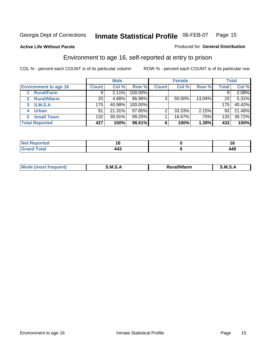**Active Life Without Parole** 

#### Produced for **General Distribution**

#### Environment to age 16, self-reported at entry to prison

|                              | <b>Male</b>      |        | <b>Female</b> |              |        | <b>Total</b> |              |        |
|------------------------------|------------------|--------|---------------|--------------|--------|--------------|--------------|--------|
| <b>Environment to age 16</b> | <b>Count</b>     | Col %  | Row %         | <b>Count</b> | Col %  | Row %        | <b>Total</b> | Col %  |
| <b>Rural/Farm</b>            | 9                | 2.11%  | 100.00%       |              |        |              |              | 2.08%  |
| <b>Rural/Nfarm</b><br>2      | 20               | 4.68%  | 86.96%        | 3            | 50.00% | 13.04%       | 23           | 5.31%  |
| S.M.S.A<br>3                 | 175              | 40.98% | 100.00%       |              |        |              | 175          | 40.42% |
| <b>Urban</b>                 | 91               | 21.31% | $97.85\%$     |              | 33.33% | 2.15%        | 93           | 21.48% |
| <b>Small Town</b>            | 132 <sub>1</sub> | 30.91% | $99.25\%$     |              | 16.67% | .75%         | 133          | 30.72% |
| <b>Total Reported</b>        | 427              | 100%   | 98.61%        | 6            | 100%   | 1.39%        | 433          | 100%   |

| Reported<br><b>Not</b><br>$\sim$ |         |     |
|----------------------------------|---------|-----|
| <b>Grand Total</b>               | <br>TTW | 449 |

| Mc | .M<br>. . | <br>- - -- - | M |
|----|-----------|--------------|---|
|    |           |              |   |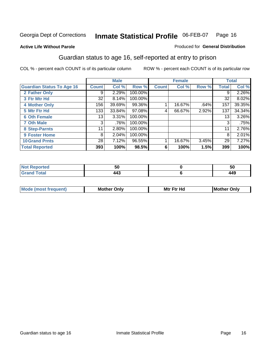#### **Active Life Without Parole**

#### Produced for **General Distribution**

#### Guardian status to age 16, self-reported at entry to prison

|                                  |              | <b>Male</b> |         |              | <b>Female</b> |       |       | <b>Total</b> |
|----------------------------------|--------------|-------------|---------|--------------|---------------|-------|-------|--------------|
| <b>Guardian Status To Age 16</b> | <b>Count</b> | Col %       | Row %   | <b>Count</b> | Col %         | Row % | Total | Col %        |
| 2 Father Only                    | 9            | 2.29%       | 100.00% |              |               |       | 9     | 2.26%        |
| 3 Ftr Mtr Hd                     | 32           | 8.14%       | 100.00% |              |               |       | 32    | 8.02%        |
| <b>4 Mother Only</b>             | 156          | 39.69%      | 99.36%  |              | 16.67%        | .64%  | 157   | 39.35%       |
| 5 Mtr Ftr Hd                     | 133          | 33.84%      | 97.08%  | 4            | 66.67%        | 2.92% | 137   | 34.34%       |
| <b>6 Oth Female</b>              | 13           | 3.31%       | 100.00% |              |               |       | 13    | $3.26\%$     |
| <b>7 Oth Male</b>                | 3            | .76%        | 100.00% |              |               |       | 3     | .75%         |
| 8 Step-Parnts                    | 11           | 2.80%       | 100.00% |              |               |       | 11    | 2.76%        |
| 9 Foster Home                    | 8            | 2.04%       | 100.00% |              |               |       | 8     | 2.01%        |
| <b>10 Grand Prnts</b>            | 28           | 7.12%       | 96.55%  |              | 16.67%        | 3.45% | 29    | 7.27%        |
| <b>Total Reported</b>            | 393          | 100%        | 98.5%   | 6            | 100%          | 1.5%  | 399   | 100%         |

| ┚₩ | วเ         |
|----|------------|
|    | 11C<br>443 |

| <b>Mou</b> | Mother<br>Onlv | Hd<br>Mtr<br>E4w | M<br>Only<br>. |
|------------|----------------|------------------|----------------|
|            |                |                  |                |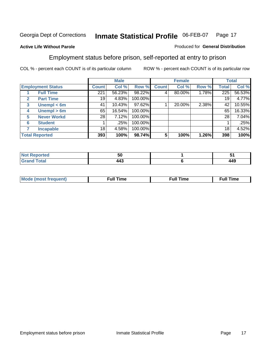#### **Active Life Without Parole**

#### Produced for **General Distribution**

#### Employment status before prison, self-reported at entry to prison

|                          |                    | <b>Male</b>  |        | <b>Female</b> |              |        | <b>Total</b> |       |        |
|--------------------------|--------------------|--------------|--------|---------------|--------------|--------|--------------|-------|--------|
| <b>Employment Status</b> |                    | <b>Count</b> | Col %  | Row %         | <b>Count</b> | Col %  | Row %        | Total | Col %  |
|                          | <b>Full Time</b>   | 221          | 56.23% | 98.22%        |              | 80.00% | 1.78%        | 225   | 56.53% |
| $\mathbf{2}$             | <b>Part Time</b>   | 19           | 4.83%  | 100.00%       |              |        |              | 19    | 4.77%  |
| 3                        | Unempl $<$ 6m      | 41           | 10.43% | 97.62%        |              | 20.00% | 2.38%        | 42    | 10.55% |
| 4                        | Unempl $> 6m$      | 65           | 16.54% | 100.00%       |              |        |              | 65    | 16.33% |
| 5                        | <b>Never Workd</b> | 28           | 7.12%  | 100.00%       |              |        |              | 28    | 7.04%  |
| 6                        | <b>Student</b>     |              | .25%   | 100.00%       |              |        |              |       | .25%   |
|                          | <b>Incapable</b>   | 18           | 4.58%  | 100.00%       |              |        |              | 18    | 4.52%  |
| <b>Total Reported</b>    |                    | 393          | 100%   | 98.74%        | 5            | 100%   | 1.26%        | 398   | 100%   |

| тео -        | .,<br>้วน           |     |
|--------------|---------------------|-----|
| <b>Total</b> | <br>$\cdot$ $\cdot$ | 449 |

| <b>M</b> ດ | the contract of the contract of the contract of the contract of the contract of the contract of the contract of | , ull i<br>ıme<br>the contract of the contract of the contract of the contract of the contract of the contract of the contract of | ïme<br>uı<br>$\sim$ $\sim$ $\sim$ $\sim$ $\sim$ |
|------------|-----------------------------------------------------------------------------------------------------------------|-----------------------------------------------------------------------------------------------------------------------------------|-------------------------------------------------|
|            |                                                                                                                 |                                                                                                                                   |                                                 |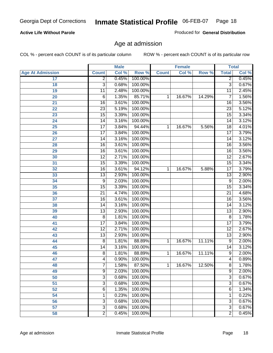#### **Active Life Without Parole**

Produced for **General Distribution**

#### Age at admission

|                         |                 | <b>Male</b> |         |              | <b>Female</b> |        | <b>Total</b>    |       |
|-------------------------|-----------------|-------------|---------|--------------|---------------|--------|-----------------|-------|
| <b>Age At Admission</b> | <b>Count</b>    | Col %       | Row %   | <b>Count</b> | Col %         | Row %  | <b>Total</b>    | Col % |
| 17                      | $\overline{2}$  | 0.45%       | 100.00% |              |               |        | 2               | 0.45% |
| 18                      | $\overline{3}$  | 0.68%       | 100.00% |              |               |        | $\overline{3}$  | 0.67% |
| 19                      | $\overline{11}$ | 2.48%       | 100.00% |              |               |        | $\overline{11}$ | 2.45% |
| 20                      | 6               | 1.35%       | 85.71%  | 1            | 16.67%        | 14.29% | 7               | 1.56% |
| 21                      | $\overline{16}$ | 3.61%       | 100.00% |              |               |        | 16              | 3.56% |
| 22                      | $\overline{23}$ | 5.19%       | 100.00% |              |               |        | $\overline{23}$ | 5.12% |
| 23                      | $\overline{15}$ | 3.39%       | 100.00% |              |               |        | $\overline{15}$ | 3.34% |
| 24                      | 14              | 3.16%       | 100.00% |              |               |        | 14              | 3.12% |
| 25                      | $\overline{17}$ | 3.84%       | 94.44%  | 1            | 16.67%        | 5.56%  | $\overline{18}$ | 4.01% |
| 26                      | $\overline{17}$ | 3.84%       | 100.00% |              |               |        | $\overline{17}$ | 3.79% |
| 27                      | $\overline{14}$ | 3.16%       | 100.00% |              |               |        | $\overline{14}$ | 3.12% |
| 28                      | $\overline{16}$ | 3.61%       | 100.00% |              |               |        | 16              | 3.56% |
| 29                      | $\overline{16}$ | 3.61%       | 100.00% |              |               |        | $\overline{16}$ | 3.56% |
| 30                      | $\overline{12}$ | 2.71%       | 100.00% |              |               |        | $\overline{12}$ | 2.67% |
| 31                      | $\overline{15}$ | 3.39%       | 100.00% |              |               |        | $\overline{15}$ | 3.34% |
| 32                      | $\overline{16}$ | 3.61%       | 94.12%  | 1            | 16.67%        | 5.88%  | 17              | 3.79% |
| 33                      | $\overline{13}$ | 2.93%       | 100.00% |              |               |        | 13              | 2.90% |
| 34                      | 9               | 2.03%       | 100.00% |              |               |        | 9               | 2.00% |
| 35                      | 15              | 3.39%       | 100.00% |              |               |        | $\overline{15}$ | 3.34% |
| 36                      | $\overline{21}$ | 4.74%       | 100.00% |              |               |        | $\overline{21}$ | 4.68% |
| 37                      | $\overline{16}$ | 3.61%       | 100.00% |              |               |        | $\overline{16}$ | 3.56% |
| 38                      | $\overline{14}$ | 3.16%       | 100.00% |              |               |        | 14              | 3.12% |
| 39                      | $\overline{13}$ | 2.93%       | 100.00% |              |               |        | $\overline{13}$ | 2.90% |
| 40                      | 8               | 1.81%       | 100.00% |              |               |        | 8               | 1.78% |
| 41                      | $\overline{17}$ | 3.84%       | 100.00% |              |               |        | $\overline{17}$ | 3.79% |
| 42                      | $\overline{12}$ | 2.71%       | 100.00% |              |               |        | 12              | 2.67% |
| 43                      | $\overline{13}$ | 2.93%       | 100.00% |              |               |        | $\overline{13}$ | 2.90% |
| 44                      | $\overline{8}$  | 1.81%       | 88.89%  | 1            | 16.67%        | 11.11% | 9               | 2.00% |
| 45                      | 14              | 3.16%       | 100.00% |              |               |        | 14              | 3.12% |
| 46                      | 8               | 1.81%       | 88.89%  | 1            | 16.67%        | 11.11% | $\overline{9}$  | 2.00% |
| 47                      | 4               | 0.90%       | 100.00% |              |               |        | $\overline{4}$  | 0.89% |
| 48                      | ſ               | 1.58%       | 87.50%  | 1            | 16.67%        | 12.50% | 8               | 1.78% |
| 49                      | 9               | 2.03%       | 100.00% |              |               |        | 9               | 2.00% |
| 50                      | 3               | 0.68%       | 100.00% |              |               |        | $\overline{3}$  | 0.67% |
| 51                      | 3               | 0.68%       | 100.00% |              |               |        | $\overline{3}$  | 0.67% |
| 52                      | 6               | 1.35%       | 100.00% |              |               |        | 6               | 1.34% |
| 54                      | 1               | 0.23%       | 100.00% |              |               |        | 1               | 0.22% |
| 56                      | 3               | 0.68%       | 100.00% |              |               |        | $\overline{3}$  | 0.67% |
| 57                      | $\overline{3}$  | 0.68%       | 100.00% |              |               |        | $\overline{3}$  | 0.67% |
| 58                      | $\overline{2}$  | 0.45%       | 100.00% |              |               |        | $\overline{2}$  | 0.45% |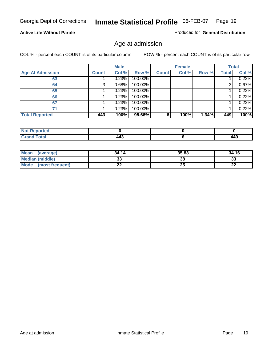#### **Active Life Without Parole**

Produced for **General Distribution**

#### Age at admission

|                         |              | <b>Male</b> |         |              | <b>Female</b> |       |       | <b>Total</b> |
|-------------------------|--------------|-------------|---------|--------------|---------------|-------|-------|--------------|
| <b>Age At Admission</b> | <b>Count</b> | Col %       | Row %   | <b>Count</b> | Col %         | Row % | Total | Col %        |
| 63                      |              | 0.23%       | 100.00% |              |               |       |       | 0.22%        |
| 64                      |              | 0.68%       | 100.00% |              |               |       |       | 0.67%        |
| 65                      |              | 0.23%       | 100.00% |              |               |       |       | 0.22%        |
| 66                      |              | 0.23%       | 100.00% |              |               |       |       | 0.22%        |
| 67                      |              | 0.23%       | 100.00% |              |               |       |       | 0.22%        |
| 71                      |              | 0.23%       | 100.00% |              |               |       |       | 0.22%        |
| <b>Total Reported</b>   | 443          | 100%        | 98.66%  | 6            | 100%          | 1.34% | 449   | 100%         |

| <b>Not Reported</b> |                |           |
|---------------------|----------------|-----------|
| <b>Total</b>        | $\overline{ }$ | $\lambda$ |
| $\mathbf{v}$ and    | 14.            | 449       |

| Mean (average)         | 34.14 | 35.83 | 34.16     |
|------------------------|-------|-------|-----------|
| <b>Median (middle)</b> | აა    | 38    | 33        |
| Mode (most frequent)   | ∸∸    | 25    | n g<br>LL |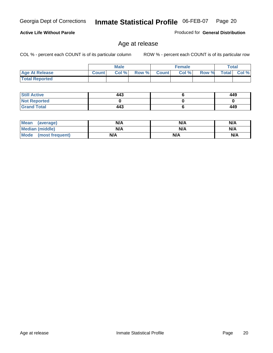**Active Life Without Parole** 

Georgia Dept of Corrections **Inmate Statistical Profile** 06-FEB-07 Page 20

Produced for **General Distribution**

#### Age at release

|                       |              | <b>Male</b> |       |              | <b>Female</b> |       |              | <b>Total</b> |
|-----------------------|--------------|-------------|-------|--------------|---------------|-------|--------------|--------------|
| <b>Age At Release</b> | <b>Count</b> | Col %       | Row % | <b>Count</b> | Col%          | Row % | <b>Total</b> | Col %        |
| <b>Total Reported</b> |              |             |       |              |               |       |              |              |

| <b>Still Active</b> | 443 | 449 |
|---------------------|-----|-----|
| <b>Not Reported</b> |     |     |
| <b>Grand Total</b>  | 443 | 449 |

| Mean (average)       | N/A | N/A | N/A |
|----------------------|-----|-----|-----|
| Median (middle)      | N/A | N/A | N/A |
| Mode (most frequent) | N/A | N/A | N/A |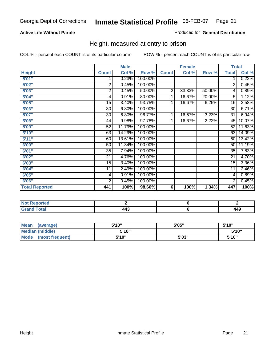#### **Active Life Without Parole**

#### Produced for **General Distribution**

#### Height, measured at entry to prison

|                       |                         | <b>Male</b> |         |                | <b>Female</b> |        |                 | <b>Total</b> |
|-----------------------|-------------------------|-------------|---------|----------------|---------------|--------|-----------------|--------------|
| <b>Height</b>         | <b>Count</b>            | Col %       | Row %   | <b>Count</b>   | Col %         | Row %  | <b>Total</b>    | Col %        |
| 5'01''                | 1                       | 0.23%       | 100.00% |                |               |        | 1               | 0.22%        |
| 5'02"                 | $\overline{2}$          | 0.45%       | 100.00% |                |               |        | 2               | 0.45%        |
| 5'03"                 | $\overline{\mathbf{c}}$ | 0.45%       | 50.00%  | $\overline{2}$ | 33.33%        | 50.00% | 4               | 0.89%        |
| 5'04"                 | 4                       | 0.91%       | 80.00%  | 1              | 16.67%        | 20.00% | 5               | 1.12%        |
| 5'05"                 | 15                      | 3.40%       | 93.75%  | 1              | 16.67%        | 6.25%  | 16              | 3.58%        |
| 5'06"                 | 30                      | 6.80%       | 100.00% |                |               |        | $\overline{30}$ | 6.71%        |
| 5'07''                | 30                      | 6.80%       | 96.77%  | 1              | 16.67%        | 3.23%  | 31              | 6.94%        |
| 5'08"                 | 44                      | 9.98%       | 97.78%  | 1              | 16.67%        | 2.22%  | 45              | 10.07%       |
| <b>5'09"</b>          | 52                      | 11.79%      | 100.00% |                |               |        | 52              | 11.63%       |
| 5'10''                | 63                      | 14.29%      | 100.00% |                |               |        | 63              | 14.09%       |
| 5'11''                | 60                      | 13.61%      | 100.00% |                |               |        | 60              | 13.42%       |
| 6'00"                 | 50                      | 11.34%      | 100.00% |                |               |        | 50              | 11.19%       |
| 6'01"                 | 35                      | 7.94%       | 100.00% |                |               |        | 35              | 7.83%        |
| 6'02"                 | 21                      | 4.76%       | 100.00% |                |               |        | 21              | 4.70%        |
| 6'03"                 | 15                      | 3.40%       | 100.00% |                |               |        | 15              | 3.36%        |
| 6'04"                 | 11                      | 2.49%       | 100.00% |                |               |        | 11              | 2.46%        |
| 6'05"                 | 4                       | 0.91%       | 100.00% |                |               |        | 4               | 0.89%        |
| 6'06"                 | $\overline{2}$          | 0.45%       | 100.00% |                |               |        | 2               | 0.45%        |
| <b>Total Reported</b> | 441                     | 100%        | 98.66%  | 6              | 100%          | 1.34%  | 447             | 100%         |

| oorted<br>NG<br>$\cdots$ |                |              |
|--------------------------|----------------|--------------|
| int<br>---<br>______     | - -<br>.<br>__ | 1 1 N<br>449 |

| Mean<br>(average)              | 5'10" | 5'05" | 5'10" |
|--------------------------------|-------|-------|-------|
| Median (middle)                | 5'10" |       | 5'10" |
| <b>Mode</b><br>(most frequent) | 5'10" | 5'03" | 5'10" |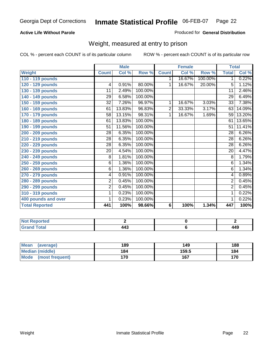#### **Active Life Without Parole**

#### Produced for **General Distribution**

#### Weight, measured at entry to prison

|                       |                 | <b>Male</b> |         |              | <b>Female</b> |         |                 | <b>Total</b> |
|-----------------------|-----------------|-------------|---------|--------------|---------------|---------|-----------------|--------------|
| <b>Weight</b>         | <b>Count</b>    | Col %       | Row %   | <b>Count</b> | Col %         | Row %   | <b>Total</b>    | Col %        |
| 110 - 119 pounds      |                 |             |         | 1            | 16.67%        | 100.00% | 1.              | 0.22%        |
| 120 - 129 pounds      | $\overline{4}$  | 0.91%       | 80.00%  | 1            | 16.67%        | 20.00%  | 5               | 1.12%        |
| 130 - 139 pounds      | 11              | 2.49%       | 100.00% |              |               |         | 11              | 2.46%        |
| 140 - 149 pounds      | 29              | 6.58%       | 100.00% |              |               |         | 29              | 6.49%        |
| 150 - 159 pounds      | $\overline{32}$ | 7.26%       | 96.97%  | 1            | 16.67%        | 3.03%   | $\overline{33}$ | 7.38%        |
| 160 - 169 pounds      | 61              | 13.83%      | 96.83%  | 2            | 33.33%        | 3.17%   | 63              | 14.09%       |
| 170 - 179 pounds      | 58              | 13.15%      | 98.31%  | 1            | 16.67%        | 1.69%   | 59              | 13.20%       |
| 180 - 189 pounds      | 61              | 13.83%      | 100.00% |              |               |         | 61              | 13.65%       |
| 190 - 199 pounds      | 51              | 11.56%      | 100.00% |              |               |         | 51              | 11.41%       |
| 200 - 209 pounds      | 28              | 6.35%       | 100.00% |              |               |         | 28              | 6.26%        |
| 210 - 219 pounds      | $\overline{28}$ | 6.35%       | 100.00% |              |               |         | 28              | 6.26%        |
| 220 - 229 pounds      | $\overline{28}$ | 6.35%       | 100.00% |              |               |         | $\overline{28}$ | 6.26%        |
| 230 - 239 pounds      | 20              | 4.54%       | 100.00% |              |               |         | 20              | 4.47%        |
| 240 - 249 pounds      | 8               | 1.81%       | 100.00% |              |               |         | 8               | 1.79%        |
| 250 - 259 pounds      | 6               | 1.36%       | 100.00% |              |               |         | 6               | 1.34%        |
| 260 - 269 pounds      | 6               | 1.36%       | 100.00% |              |               |         | 6               | 1.34%        |
| 270 - 279 pounds      | 4               | 0.91%       | 100.00% |              |               |         | 4               | 0.89%        |
| 280 - 289 pounds      | $\overline{2}$  | 0.45%       | 100.00% |              |               |         | $\overline{2}$  | 0.45%        |
| 290 - 299 pounds      | $\overline{2}$  | 0.45%       | 100.00% |              |               |         | $\overline{2}$  | 0.45%        |
| 310 - 319 pounds      | 1               | 0.23%       | 100.00% |              |               |         | 1               | 0.22%        |
| 400 pounds and over   | 1               | 0.23%       | 100.00% |              |               |         | 1               | 0.22%        |
| <b>Total Reported</b> | 441             | 100%        | 98.66%  | 6            | 100%          | 1.34%   | 447             | 100%         |

| .<br><b>NO</b><br><b>TTEO</b> |    |             |
|-------------------------------|----|-------------|
| <b>Total</b>                  | __ | 1.AO<br>449 |

| Mean<br>(average)       | 189 | 149   | 188 |
|-------------------------|-----|-------|-----|
| Median (middle)         | 184 | 159.5 | 184 |
| Mode<br>(most frequent) | 170 | 167   | 170 |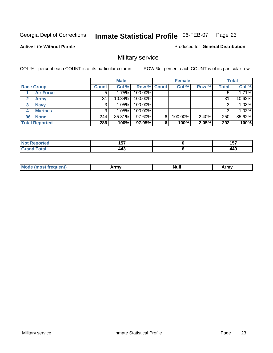**Active Life Without Parole** 

Produced for **General Distribution**

### Military service

|                       |              | <b>Male</b> |                    |   | <b>Female</b> |          |       | <b>Total</b> |
|-----------------------|--------------|-------------|--------------------|---|---------------|----------|-------|--------------|
| <b>Race Group</b>     | <b>Count</b> | Col %       | <b>Row % Count</b> |   | Col %         | Row %    | Total | Col %        |
| <b>Air Force</b>      | 5            | 1.75%       | 100.00%            |   |               |          |       | 1.71%        |
| <b>Army</b>           | 31           | $10.84\%$   | 100.00%            |   |               |          | 31    | 10.62%       |
| <b>Navy</b><br>3      |              | $1.05\%$    | 100.00%            |   |               |          |       | 1.03%        |
| <b>Marines</b><br>4   | 3            | 1.05%       | 100.00%            |   |               |          | 3     | 1.03%        |
| <b>None</b><br>96     | 244          | 85.31%      | 97.60%             | 6 | 100.00%       | $2.40\%$ | 250   | 85.62%       |
| <b>Total Reported</b> | 286          | 100%        | 97.95%             | 6 | 100%          | 2.05%    | 292   | 100%         |

| اد د لاس .<br>re o    | $\overline{a}$ , and $\overline{a}$<br>וטו<br>$ -$ | .<br>וטו<br>$\sim$         |
|-----------------------|----------------------------------------------------|----------------------------|
| $f \wedge f \wedge f$ | 443                                                | <i><b>A A C</b></i><br>44J |

|  | - -<br>M | ------<br>,,,,,, | <br>Nul. | $\cdots$<br><b>THEFT</b> |
|--|----------|------------------|----------|--------------------------|
|--|----------|------------------|----------|--------------------------|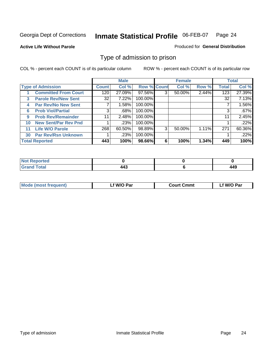#### **Active Life Without Parole**

#### Produced for **General Distribution**

#### Type of admission to prison

|    |                             |              | <b>Male</b> |                    |   | <b>Female</b> |       |              | <b>Total</b> |
|----|-----------------------------|--------------|-------------|--------------------|---|---------------|-------|--------------|--------------|
|    | <b>Type of Admission</b>    | <b>Count</b> | Col %       | <b>Row % Count</b> |   | Col %         | Row % | <b>Total</b> | Col %        |
|    | <b>Committed From Court</b> | 120          | 27.09%      | 97.56%             |   | 50.00%        | 2.44% | 123          | 27.39%       |
| 3  | <b>Parole Rev/New Sent</b>  | 32           | 7.22%       | 100.00%            |   |               |       | 32           | 7.13%        |
| 4  | <b>Par Rev/No New Sent</b>  |              | 1.58%       | 100.00%            |   |               |       |              | 1.56%        |
| 6  | <b>Prob Viol/Partial</b>    | 3            | .68%        | 100.00%            |   |               |       |              | .67%         |
| 9  | <b>Prob Rev/Remainder</b>   | 11           | 2.48%       | 100.00%            |   |               |       | 11           | 2.45%        |
| 10 | <b>New Sent/Par Rev Pnd</b> |              | .23%        | 100.00%            |   |               |       |              | .22%         |
| 11 | <b>Life W/O Parole</b>      | 268          | 60.50%      | 98.89%             | 3 | 50.00%        | 1.11% | 271          | 60.36%       |
| 30 | <b>Par Rev/Rsn Unknown</b>  |              | .23%        | 100.00%            |   |               |       |              | .22%         |
|    | <b>Total Reported</b>       | 443          | 100%        | 98.66%             | 6 | 100%          | 1.34% | 449          | 100%         |

| <b>Reported</b>                      |     |                          |
|--------------------------------------|-----|--------------------------|
| <b>Total</b><br>r<br><b>UI di Iu</b> | 443 | <i><b>AAC</b></i><br>14J |

| <b>Mode (most frequent)</b> | <b>W/O Par</b> | <b>Court Cmmt</b> | M/O Par |
|-----------------------------|----------------|-------------------|---------|
|                             |                |                   |         |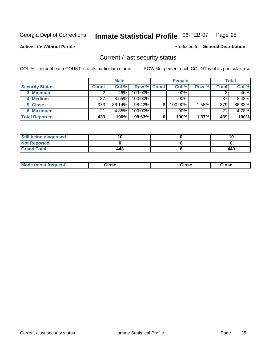**Active Life Without Parole** 

Produced for **General Distribution**

#### Current / last security status

|                        |              | <b>Male</b> |                    |   | <b>Female</b> |       |       | <b>Total</b> |
|------------------------|--------------|-------------|--------------------|---|---------------|-------|-------|--------------|
| <b>Security Status</b> | <b>Count</b> | Col %       | <b>Row % Count</b> |   | Col %         | Row % | Total | Col %        |
| 3 Minimum              |              | .46%        | $100.00\%$         |   | .00%          |       |       | .46%         |
| 4 Medium               | 37           | 8.55%       | $100.00\%$         |   | .00%          |       | 37    | 8.43%        |
| 5 Close                | 373          | 86.14%      | $98.42\%$          | 6 | 100.00%       | 1.58% | 379   | 86.33%       |
| 6 Maximum              | 21           | 4.85%       | 100.00%            |   | .00%          |       | 21    | 4.78%        |
| <b>Total Reported</b>  | 433          | 100%        | 98.63%             | 6 | 100%          | 1.37% | 439   | 100%         |

| <b>Still being diagnosed</b> |     |     |
|------------------------------|-----|-----|
| <b>Not Reported</b>          |     |     |
| <b>Grand Total</b>           | 443 | 449 |

| <b>Mode</b><br><b>OSE</b><br>∵lose<br>(most frequent)<br>oseث<br>- - - -<br>- - - -<br>- - - - |  |
|------------------------------------------------------------------------------------------------|--|
|------------------------------------------------------------------------------------------------|--|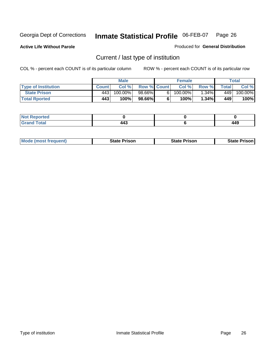**Active Life Without Parole** 

Produced for **General Distribution**

### Current / last type of institution

|                            |              | <b>Male</b> |                    |    | <b>Female</b> |                         |         | Total   |
|----------------------------|--------------|-------------|--------------------|----|---------------|-------------------------|---------|---------|
| <b>Type of Institution</b> | <b>Count</b> | Col%        | <b>Row % Count</b> |    | Col%          | Row %                   | Total i | Col %   |
| <b>State Prison</b>        | 443'         | 100.00%」    | 98.66%             | 61 | 100.00%」      | $1.34\%$ $\blacksquare$ | 449     | 100.00% |
| <b>Total Rported</b>       | 443          | 100%        | 98.66%             |    | $100\%$       | 1.34%                   | 449     | 100%    |

| <b>rted</b><br>. |                      |               |
|------------------|----------------------|---------------|
| ı ulal           | . .<br>44.<br>$\sim$ | 449<br>$\sim$ |

| <b>Mode (most frequent)</b> | <b>State Prison</b> | <b>State Prison</b> | <b>State Prison I</b> |
|-----------------------------|---------------------|---------------------|-----------------------|
|                             |                     |                     |                       |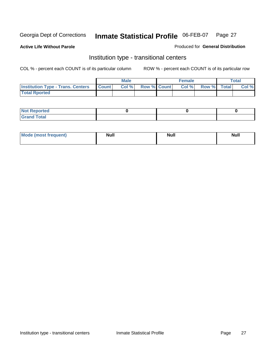**Active Life Without Parole** 

Produced for **General Distribution**

#### Institution type - transitional centers

|                                                | Male  |                    | Female |             | <b>Total</b> |
|------------------------------------------------|-------|--------------------|--------|-------------|--------------|
| <b>Institution Type - Trans. Centers Count</b> | Col % | <b>Row % Count</b> | Col %  | Row % Total | Col %        |
| <b>Total Rported</b>                           |       |                    |        |             |              |

| <b>Not Reported</b>      |  |  |
|--------------------------|--|--|
| <b>Total</b><br>C.o<br>. |  |  |

| Mode (most frequent) | <b>Null</b> | <b>Null</b> | <b>Null</b> |
|----------------------|-------------|-------------|-------------|
|                      |             |             |             |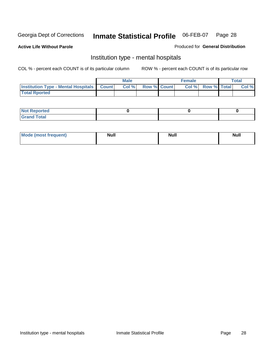**Active Life Without Parole** 

Produced for **General Distribution**

#### Institution type - mental hospitals

|                                                  | <b>Male</b> |                    | <b>Female</b> |                          | <b>Total</b> |
|--------------------------------------------------|-------------|--------------------|---------------|--------------------------|--------------|
| <b>Institution Type - Mental Hospitals Count</b> | Col%        | <b>Row % Count</b> |               | <b>Col % Row % Total</b> | Col %        |
| <b>Total Rported</b>                             |             |                    |               |                          |              |

| <b>Not Reported</b> |  |  |
|---------------------|--|--|
| <b>Total</b><br>Cro |  |  |

| Mode (most frequent) | <b>Null</b> | <b>Null</b> | <b>Null</b> |
|----------------------|-------------|-------------|-------------|
|                      |             |             |             |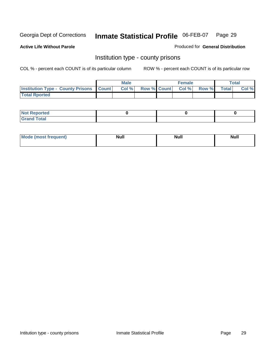**Active Life Without Parole** 

Produced for **General Distribution**

#### Institution type - county prisons

|                                                    | <b>Male</b> |  | <b>Female</b>     |       |              | Total |
|----------------------------------------------------|-------------|--|-------------------|-------|--------------|-------|
| <b>Institution Type - County Prisons   Count  </b> | Col%        |  | Row % Count Col % | Row % | <b>Total</b> | Col % |
| <b>Total Rported</b>                               |             |  |                   |       |              |       |

| <b>Not</b><br><b>Reported</b> |  |  |
|-------------------------------|--|--|
| <b>Grand Total</b>            |  |  |

| <b>Mode</b> | <b>Null</b> | <b>Null</b> | <b>Null</b> |
|-------------|-------------|-------------|-------------|
| frequent)   |             |             |             |
|             |             |             |             |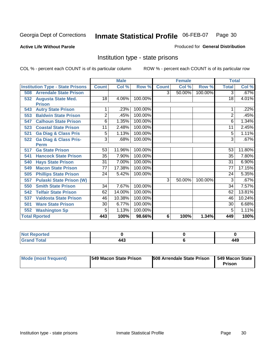**Active Life Without Parole** 

Produced for **General Distribution**

#### Institution type - state prisons

|                                         |                 | <b>Male</b> |         |              | <b>Female</b> |         | <b>Total</b>    |          |
|-----------------------------------------|-----------------|-------------|---------|--------------|---------------|---------|-----------------|----------|
| <b>Institution Type - State Prisons</b> | <b>Count</b>    | Col %       | Row %   | <b>Count</b> | Col %         | Row %   | <b>Total</b>    | Col %    |
| <b>Arrendale State Prison</b><br>508    |                 |             |         | 3            | 50.00%        | 100.00% | $\overline{3}$  | .67%     |
| <b>Augusta State Med.</b><br>532        | 18              | 4.06%       | 100.00% |              |               |         | 18              | 4.01%    |
| <b>Prison</b>                           |                 |             |         |              |               |         |                 |          |
| <b>Autry State Prison</b><br>543        |                 | .23%        | 100.00% |              |               |         |                 | .22%     |
| <b>Baldwin State Prison</b><br>553      | $\overline{2}$  | .45%        | 100.00% |              |               |         | 2               | .45%     |
| <b>Calhoun State Prison</b><br>547      | 6               | 1.35%       | 100.00% |              |               |         | 6               | 1.34%    |
| <b>Coastal State Prison</b><br>523      | 11              | 2.48%       | 100.00% |              |               |         | 11              | 2.45%    |
| <b>Ga Diag &amp; Class Pris</b><br>521  | 5               | 1.13%       | 100.00% |              |               |         | 5               | 1.11%    |
| <b>Ga Diag &amp; Class Pris-</b><br>522 | 3               | .68%        | 100.00% |              |               |         | 3               | .67%     |
| <b>Perm</b>                             |                 |             |         |              |               |         |                 |          |
| <b>Ga State Prison</b><br>517           | 53              | 11.96%      | 100.00% |              |               |         | 53              | 11.80%   |
| <b>Hancock State Prison</b><br>541      | 35              | 7.90%       | 100.00% |              |               |         | 35              | 7.80%    |
| <b>Hays State Prison</b><br>540         | $\overline{31}$ | 7.00%       | 100.00% |              |               |         | $\overline{31}$ | $6.90\%$ |
| <b>Macon State Prison</b><br>549        | $\overline{77}$ | 17.38%      | 100.00% |              |               |         | 77              | 17.15%   |
| <b>Phillips State Prison</b><br>505     | 24              | 5.42%       | 100.00% |              |               |         | 24              | 5.35%    |
| <b>Pulaski State Prison (W)</b><br>557  |                 |             |         | 3            | 50.00%        | 100.00% | 3               | .67%     |
| <b>Smith State Prison</b><br>550        | 34              | 7.67%       | 100.00% |              |               |         | 34              | 7.57%    |
| <b>Telfair State Prison</b><br>542      | 62              | 14.00%      | 100.00% |              |               |         | 62              | 13.81%   |
| <b>Valdosta State Prison</b><br>537     | 46              | 10.38%      | 100.00% |              |               |         | 46              | 10.24%   |
| <b>Ware State Prison</b><br>501         | $\overline{30}$ | 6.77%       | 100.00% |              |               |         | 30              | 6.68%    |
| <b>Washington Sp</b><br>552             | 5               | 1.13%       | 100.00% |              |               |         | 5               | 1.11%    |
| <b>Total Rported</b>                    | 443             | 100%        | 98.66%  | 6            | 100%          | 1.34%   | 449             | 100%     |

| τeο           |                      |     |
|---------------|----------------------|-----|
| <u>i</u> Utal | $AA^{\circ}$<br>- TV | 449 |

| Mode (most frequent) | 1549 Macon State Prison | <b>508 Arrendale State Prison</b> | 1549 Macon State<br>Prison |
|----------------------|-------------------------|-----------------------------------|----------------------------|
|----------------------|-------------------------|-----------------------------------|----------------------------|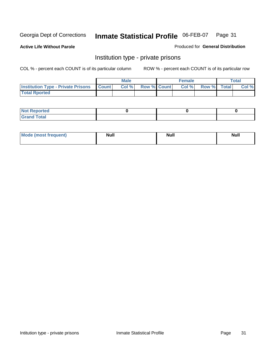**Active Life Without Parole** 

Produced for **General Distribution**

#### Institution type - private prisons

|                                                     | <b>Male</b> |                    | <b>Female</b> |             | <b>Total</b> |
|-----------------------------------------------------|-------------|--------------------|---------------|-------------|--------------|
| <b>Institution Type - Private Prisons   Count  </b> | Col %       | <b>Row % Count</b> | Col %         | Row % Total | Col %        |
| <b>Total Rported</b>                                |             |                    |               |             |              |

| <b>Not Reported</b>      |  |  |
|--------------------------|--|--|
| <b>Total</b><br>C.o<br>. |  |  |

| Mode (most frequent) | <b>Null</b> | <b>Null</b> | <b>Null</b> |
|----------------------|-------------|-------------|-------------|
|                      |             |             |             |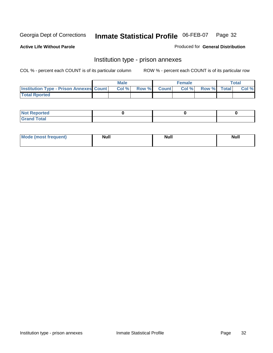**Active Life Without Parole** 

Produced for **General Distribution**

#### Institution type - prison annexes

|                                                | <b>Male</b> |                    | <b>Female</b> |             | <b>Total</b> |
|------------------------------------------------|-------------|--------------------|---------------|-------------|--------------|
| <b>Institution Type - Prison Annexes Count</b> | Col %       | <b>Row % Count</b> | Col %         | Row % Total | Col %        |
| <b>Total Rported</b>                           |             |                    |               |             |              |

| <b>Not</b><br><b>Reported</b>    |  |  |
|----------------------------------|--|--|
| <b>Total</b><br>Gran<br>$\sim$ . |  |  |

| Mode (most frequent) | <b>Null</b> | <b>Null</b> | <b>Null</b> |
|----------------------|-------------|-------------|-------------|
|                      |             |             |             |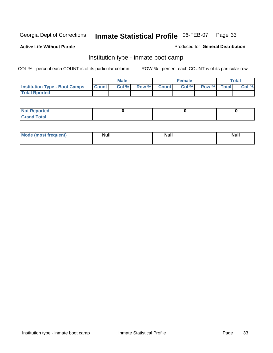**Active Life Without Parole** 

Produced for **General Distribution**

#### Institution type - inmate boot camp

|                                      |              | Male  |             | <b>Female</b> |             | <b>Total</b> |
|--------------------------------------|--------------|-------|-------------|---------------|-------------|--------------|
| <b>Institution Type - Boot Camps</b> | <b>Count</b> | Col % | Row % Count | Col%          | Row % Total | Col %        |
| <b>Total Rported</b>                 |              |       |             |               |             |              |

| <b>Not Reported</b>  |  |  |
|----------------------|--|--|
| <b>Total</b><br>Croy |  |  |

| Mode (most frequent) | <b>Null</b> | <b>Null</b> | <b>Null</b> |
|----------------------|-------------|-------------|-------------|
|                      |             |             |             |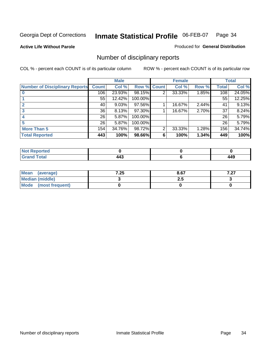**Active Life Without Parole** 

Produced for **General Distribution**

### Number of disciplinary reports

|                                       |              | <b>Male</b> |             |   | <b>Female</b> |       |              | <b>Total</b> |
|---------------------------------------|--------------|-------------|-------------|---|---------------|-------|--------------|--------------|
| <b>Number of Disciplinary Reports</b> | <b>Count</b> | Col %       | Row % Count |   | Col %         | Row % | <b>Total</b> | Col %        |
|                                       | 106          | 23.93%      | 98.15%      | 2 | 33.33%        | 1.85% | 108          | 24.05%       |
|                                       | 55           | 12.42%      | 100.00%     |   |               |       | 55           | 12.25%       |
|                                       | 40           | 9.03%       | 97.56%      |   | 16.67%        | 2.44% | 41           | 9.13%        |
|                                       | 36           | 8.13%       | 97.30%      |   | 16.67%        | 2.70% | 37           | 8.24%        |
|                                       | 26           | 5.87%       | 100.00%     |   |               |       | 26           | 5.79%        |
|                                       | 26           | 5.87%       | 100.00%     |   |               |       | 26           | 5.79%        |
| <b>More Than 5</b>                    | 154          | 34.76%      | 98.72%      | 2 | 33.33%        | 1.28% | 156          | 34.74%       |
| <b>Total Reported</b>                 | 443          | 100%        | 98.66%      | 6 | 100%          | 1.34% | 449          | 100%         |

| .<br>N<br>Tet. |                    |                    |
|----------------|--------------------|--------------------|
| Г∩tal          | <br>∕ T™<br>$\sim$ | AC.<br>.<br>$\sim$ |

| Mean (average)       | 7.25 | 8.67 | , מ<br>1 .ZI |
|----------------------|------|------|--------------|
| Median (middle)      |      | 2.J  |              |
| Mode (most frequent) |      |      |              |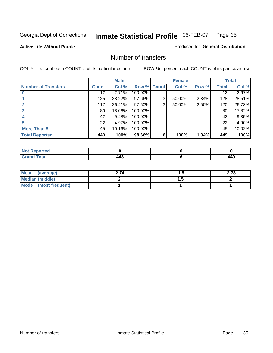**Active Life Without Parole** 

Produced for **General Distribution**

#### Number of transfers

|                       |              | <b>Male</b> |                    |   | <b>Female</b> |       |              | <b>Total</b> |
|-----------------------|--------------|-------------|--------------------|---|---------------|-------|--------------|--------------|
| Number of Transfers   | <b>Count</b> | Col %       | <b>Row % Count</b> |   | Col %         | Row % | <b>Total</b> | Col %        |
|                       | 12           | 2.71%       | 100.00%            |   |               |       | 12           | 2.67%        |
|                       | 125          | 28.22%      | 97.66%             | 3 | 50.00%        | 2.34% | 128          | 28.51%       |
|                       | 117          | 26.41%      | 97.50%             | 3 | 50.00%        | 2.50% | 120          | 26.73%       |
|                       | 80           | 18.06%      | 100.00%            |   |               |       | 80           | 17.82%       |
|                       | 42           | 9.48%       | 100.00%            |   |               |       | 42           | 9.35%        |
|                       | 22           | 4.97%       | 100.00%            |   |               |       | 22           | 4.90%        |
| <b>More Than 5</b>    | 45           | 10.16%      | 100.00%            |   |               |       | 45           | 10.02%       |
| <b>Total Reported</b> | 443          | 100%        | 98.66%             | 6 | 100%          | 1.34% | 449          | 100%         |

| N<br>тес. |                       |              |
|-----------|-----------------------|--------------|
| $\sim$    | $\overline{ }$<br>443 | I A C<br>14J |

| Mean (average)         | 2.74 | . | <u>າ 7</u><br>2.IJ |
|------------------------|------|---|--------------------|
| <b>Median (middle)</b> |      | . |                    |
| Mode (most frequent)   |      |   |                    |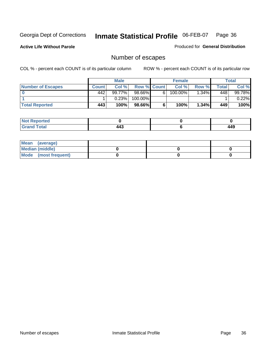**Active Life Without Parole** 

Produced for **General Distribution**

### Number of escapes

|                       |         | <b>Male</b> |                    |   | <b>Female</b> |          |       | <b>Total</b> |
|-----------------------|---------|-------------|--------------------|---|---------------|----------|-------|--------------|
| Number of Escapes     | Count l | Col %       | <b>Row % Count</b> |   | Col%          | Row %    | Total | Col %        |
|                       | 442     | $99.77\%$   | $98.66\%$          | 6 | $100.00\%$    | $1.34\%$ | 448   | 99.78%       |
|                       |         | 0.23%       | 100.00%            |   |               |          |       | 0.22%        |
| <b>Total Reported</b> | 443     | 100%        | 98.66%             |   | 100%          | 1.34%    | 449   | 100%         |

| المتحافظ<br>neo  |     |       |
|------------------|-----|-------|
| <b>cotal</b>     |     | 1 1 O |
| $\mathbf{v}$ and | г-т | 44J   |

| Mean (average)       |  |  |
|----------------------|--|--|
| Median (middle)      |  |  |
| Mode (most frequent) |  |  |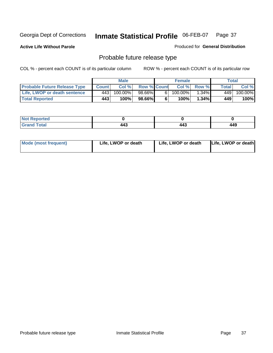**Active Life Without Parole** 

Produced for **General Distribution**

# Probable future release type

|                                     |              | <b>Male</b> |                    |                | <b>Female</b> |          |             | Total   |
|-------------------------------------|--------------|-------------|--------------------|----------------|---------------|----------|-------------|---------|
| <b>Probable Future Release Type</b> | <b>Count</b> | Col %       | <b>Row % Count</b> |                | Col %         | Row %    | $\tau$ otal | Col %   |
| Life, LWOP or death sentence        | 4431         | 100.00%」    | 98.66%             | 6 <sub>1</sub> | 100.00%       | $.34\%$  | 449         | 100.00% |
| <b>Total Reported</b>               | 443          | 100%        | 98.66%             | 6              | 100%          | $1.34\%$ | 449         | 100%    |

| <b>Reported</b><br>' NOT |                |     |     |
|--------------------------|----------------|-----|-----|
| <b>Total</b>             | $\overline{ }$ | 14° | 449 |
| -                        | 443            | . . |     |

| <b>Mode (most frequent)</b> | Life, LWOP or death | Life, LWOP or death | Life, LWOP or death |
|-----------------------------|---------------------|---------------------|---------------------|
|-----------------------------|---------------------|---------------------|---------------------|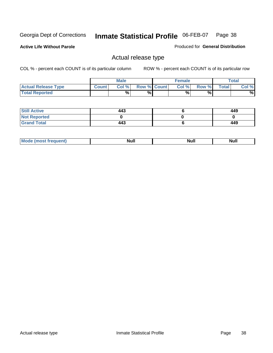**Active Life Without Parole** 

Produced for **General Distribution**

## Actual release type

|                            |              | <b>Male</b> |                    | <b>Female</b> |        |       | $\tau$ otal |
|----------------------------|--------------|-------------|--------------------|---------------|--------|-------|-------------|
| <b>Actual Release Type</b> | <b>Count</b> | Col %       | <b>Row % Count</b> | Col %         | Row %I | Total | Col %       |
| <b>Total Reported</b>      |              | %           | %                  | %             | %      |       | %           |

| <b>Still Active</b> | 443 | 449 |
|---------------------|-----|-----|
| <b>Not Reported</b> |     |     |
| <b>Grand Total</b>  | 443 | 449 |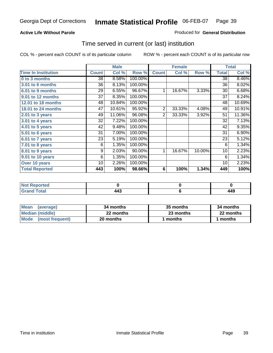## **Active Life Without Parole**

### Produced for **General Distribution**

## Time served in current (or last) institution

|                            |              | <b>Male</b> |         |                | <b>Female</b> |        |              | <b>Total</b> |
|----------------------------|--------------|-------------|---------|----------------|---------------|--------|--------------|--------------|
| <b>Time In Institution</b> | <b>Count</b> | Col %       | Row %   | <b>Count</b>   | Col %         | Row %  | <b>Total</b> | Col %        |
| 0 to 3 months              | 38           | 8.58%       | 100.00% |                |               |        | 38           | 8.46%        |
| 3.01 to 6 months           | 36           | 8.13%       | 100.00% |                |               |        | 36           | 8.02%        |
| 6.01 to 9 months           | 29           | 6.55%       | 96.67%  | 1              | 16.67%        | 3.33%  | 30           | 6.68%        |
| 9.01 to 12 months          | 37           | 8.35%       | 100.00% |                |               |        | 37           | 8.24%        |
| 12.01 to 18 months         | 48           | 10.84%      | 100.00% |                |               |        | 48           | 10.69%       |
| 18.01 to 24 months         | 47           | 10.61%      | 95.92%  | $\overline{2}$ | 33.33%        | 4.08%  | 49           | 10.91%       |
| $2.01$ to 3 years          | 49           | 11.06%      | 96.08%  | $\overline{2}$ | 33.33%        | 3.92%  | 51           | 11.36%       |
| 3.01 to 4 years            | 32           | 7.22%       | 100.00% |                |               |        | 32           | 7.13%        |
| 4.01 to 5 years            | 42           | 9.48%       | 100.00% |                |               |        | 42           | 9.35%        |
| 5.01 to 6 years            | 31           | 7.00%       | 100.00% |                |               |        | 31           | 6.90%        |
| 6.01 to 7 years            | 23           | 5.19%       | 100.00% |                |               |        | 23           | 5.12%        |
| $7.01$ to 8 years          | 6            | 1.35%       | 100.00% |                |               |        | 6            | 1.34%        |
| 8.01 to 9 years            | 9            | 2.03%       | 90.00%  | 1              | 16.67%        | 10.00% | 10           | 2.23%        |
| 9.01 to 10 years           | 6            | 1.35%       | 100.00% |                |               |        | 6            | 1.34%        |
| Over 10 years              | 10           | 2.26%       | 100.00% |                |               |        | 10           | 2.23%        |
| <b>Total Reported</b>      | 443          | 100%        | 98.66%  | 6              | 100%          | 1.34%  | 449          | 100%         |

| <b>Not Reported</b> |  |     |
|---------------------|--|-----|
| <b>Total</b>        |  | 449 |

| <b>Mean</b><br>(average) | 34 months | 35 months | 34 months |  |
|--------------------------|-----------|-----------|-----------|--|
| Median (middle)          | 22 months | 23 months | 22 months |  |
| Mode (most frequent)     | 20 months | ∣ months  | months    |  |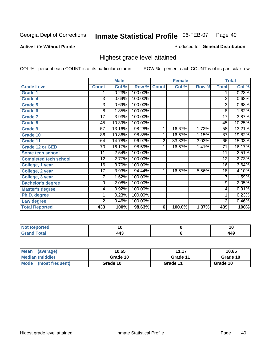### **Active Life Without Parole**

### Produced for **General Distribution**

## Highest grade level attained

|                              |                 | <b>Male</b> |         |                | <b>Female</b> |       |                 | <b>Total</b> |
|------------------------------|-----------------|-------------|---------|----------------|---------------|-------|-----------------|--------------|
| <b>Grade Level</b>           | <b>Count</b>    | Col %       | Row %   | <b>Count</b>   | Col %         | Row % | <b>Total</b>    | Col %        |
| <b>Grade 1</b>               | 1               | 0.23%       | 100.00% |                |               |       | 1               | 0.23%        |
| <b>Grade 4</b>               | $\overline{3}$  | 0.69%       | 100.00% |                |               |       | 3               | 0.68%        |
| Grade 5                      | 3               | 0.69%       | 100.00% |                |               |       | 3               | 0.68%        |
| Grade 6                      | 8               | 1.85%       | 100.00% |                |               |       | 8               | 1.82%        |
| <b>Grade 7</b>               | $\overline{17}$ | 3.93%       | 100.00% |                |               |       | $\overline{17}$ | 3.87%        |
| <b>Grade 8</b>               | 45              | 10.39%      | 100.00% |                |               |       | 45              | 10.25%       |
| <b>Grade 9</b>               | 57              | 13.16%      | 98.28%  | 1              | 16.67%        | 1.72% | 58              | 13.21%       |
| Grade 10                     | 86              | 19.86%      | 98.85%  | 1              | 16.67%        | 1.15% | 87              | 19.82%       |
| Grade 11                     | 64              | 14.78%      | 96.97%  | $\overline{2}$ | 33.33%        | 3.03% | 66              | 15.03%       |
| <b>Grade 12 or GED</b>       | 70              | 16.17%      | 98.59%  | 1              | 16.67%        | 1.41% | 71              | 16.17%       |
| <b>Some tech school</b>      | 11              | 2.54%       | 100.00% |                |               |       | 11              | 2.51%        |
| <b>Completed tech school</b> | 12              | 2.77%       | 100.00% |                |               |       | 12              | 2.73%        |
| College, 1 year              | 16              | 3.70%       | 100.00% |                |               |       | 16              | 3.64%        |
| College, 2 year              | 17              | 3.93%       | 94.44%  | 1              | 16.67%        | 5.56% | 18              | 4.10%        |
| College, 3 year              | 7               | 1.62%       | 100.00% |                |               |       | $\overline{7}$  | 1.59%        |
| <b>Bachelor's degree</b>     | 9               | 2.08%       | 100.00% |                |               |       | 9               | 2.05%        |
| <b>Master's degree</b>       | 4               | 0.92%       | 100.00% |                |               |       | 4               | 0.91%        |
| Ph.D. degree                 | 1               | 0.23%       | 100.00% |                |               |       | 1               | 0.23%        |
| Law degree                   | $\overline{2}$  | 0.46%       | 100.00% |                |               |       | $\overline{2}$  | 0.46%        |
| <b>Total Reported</b>        | 433             | 100%        | 98.63%  | 6              | 100.0%        | 1.37% | 439             | 100%         |

| الدرجية.<br>τeα<br>N0 | . .   | 1 Y          |
|-----------------------|-------|--------------|
| <b>Coto</b> "         | л Л " | 1 1 O<br>44J |

| <b>Mean</b><br>(average)       | 10.65    | 11.17    | 10.65    |
|--------------------------------|----------|----------|----------|
| Median (middle)                | Grade 10 | Grade 11 | Grade 10 |
| <b>Mode</b><br>(most frequent) | Grade 10 | Grade 11 | Grade 10 |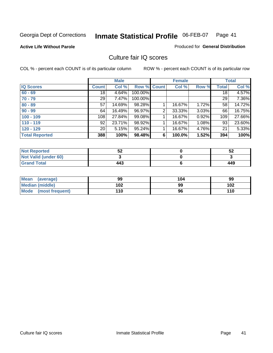### **Active Life Without Parole**

### Produced for **General Distribution**

## Culture fair IQ scores

|                       |                 | <b>Male</b> |             |   | <b>Female</b> |       |                 | <b>Total</b> |
|-----------------------|-----------------|-------------|-------------|---|---------------|-------|-----------------|--------------|
| <b>IQ Scores</b>      | <b>Count</b>    | Col %       | Row % Count |   | Col %         | Row % | <b>Total</b>    | Col %        |
| $60 - 69$             | $\overline{18}$ | 4.64%       | 100.00%     |   |               |       | $\overline{18}$ | 4.57%        |
| $70 - 79$             | 29              | 7.47%       | 100.00%     |   |               |       | 29              | 7.36%        |
| $80 - 89$             | 57              | 14.69%      | 98.28%      |   | 16.67%        | 1.72% | 58              | 14.72%       |
| $90 - 99$             | 64              | 16.49%      | 96.97%      | 2 | 33.33%        | 3.03% | 66              | 16.75%       |
| $100 - 109$           | 108             | 27.84%      | 99.08%      |   | 16.67%        | 0.92% | 109             | 27.66%       |
| $110 - 119$           | 92              | 23.71%      | 98.92%      |   | 16.67%        | 1.08% | 93              | 23.60%       |
| $120 - 129$           | 20 <sup>1</sup> | 5.15%       | 95.24%      |   | 16.67%        | 4.76% | 21              | 5.33%        |
| <b>Total Reported</b> | 388             | 100%        | 98.48%      | 6 | 100.0%        | 1.52% | 394             | 100%         |

| <b>Not Reported</b>         | гη<br>3∠ | 52  |
|-----------------------------|----------|-----|
| <b>Not Valid (under 60)</b> |          |     |
| <b>Grand Total</b>          | 443      | 449 |

| <b>Mean</b><br>(average)       | 99  | 104 | 99  |
|--------------------------------|-----|-----|-----|
| Median (middle)                | 102 | 99  | 102 |
| <b>Mode</b><br>(most frequent) | 110 | 96  | 110 |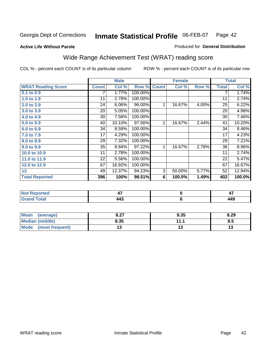**Active Life Without Parole** 

## Produced for **General Distribution**

# Wide Range Achievement Test (WRAT) reading score

|                           |              | <b>Male</b> |         |              | <b>Female</b>  |       |              | <b>Total</b> |
|---------------------------|--------------|-------------|---------|--------------|----------------|-------|--------------|--------------|
| <b>WRAT Reading Score</b> | <b>Count</b> | Col %       | Row %   | <b>Count</b> | Col %          | Row % | <b>Total</b> | Col %        |
| 0.1 to 0.9                | 7            | 1.77%       | 100.00% |              |                |       |              | 1.74%        |
| 1.0 to 1.9                | 11           | 2.78%       | 100.00% |              |                |       | 11           | 2.74%        |
| 2.0 to 2.9                | 24           | 6.06%       | 96.00%  | 1            | 16.67%         | 4.00% | 25           | 6.22%        |
| 3.0 to 3.9                | 20           | 5.05%       | 100.00% |              |                |       | 20           | 4.98%        |
| 4.0 to 4.9                | 30           | 7.58%       | 100.00% |              |                |       | 30           | 7.46%        |
| 5.0 to 5.9                | 40           | 10.10%      | 97.56%  | 1            | 16.67%         | 2.44% | 41           | 10.20%       |
| 6.0 to 6.9                | 34           | 8.59%       | 100.00% |              |                |       | 34           | 8.46%        |
| 7.0 to 7.9                | 17           | 4.29%       | 100.00% |              |                |       | 17           | 4.23%        |
| 8.0 to 8.9                | 29           | 7.32%       | 100.00% |              |                |       | 29           | 7.21%        |
| 9.0 to 9.9                | 35           | 8.84%       | 97.22%  | 1            | 16.67%         | 2.78% | 36           | 8.96%        |
| 10.0 to 10.9              | 11           | 2.78%       | 100.00% |              |                |       | 11           | 2.74%        |
| 11.0 to 11.9              | 22           | 5.56%       | 100.00% |              |                |       | 22           | 5.47%        |
| 12.0 to 12.9              | 67           | 16.92%      | 100.00% |              |                |       | 67           | 16.67%       |
| 13                        | 49           | 12.37%      | 94.23%  | 3            | 50.00%         | 5.77% | 52           | 12.94%       |
| <b>Total Reported</b>     | 396          | 100%        | 98.51%  | 6            | 100.0%         | 1.49% | 402          | 100.0%       |
|                           |              |             |         |              |                |       |              |              |
| <b>Not Reported</b>       |              | 47          |         |              | $\bf{0}$       |       |              | 47           |
| <b>Grand Total</b>        |              | 443         |         |              | $6\phantom{1}$ |       |              | 449          |

| Mean<br>(average)    | 0.27<br>0.Z1 | 9.35 | 8.29 |
|----------------------|--------------|------|------|
| Median (middle)      | 8.35         | 111  | 8.5  |
| Mode (most frequent) | ∪י           | ט ו  | IJ   |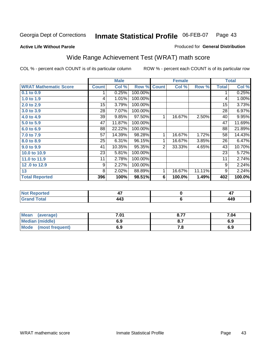### **Active Life Without Parole**

## Produced for **General Distribution**

# Wide Range Achievement Test (WRAT) math score

|                              |              | <b>Male</b> |         |                | <b>Female</b>   |        |              | <b>Total</b> |
|------------------------------|--------------|-------------|---------|----------------|-----------------|--------|--------------|--------------|
| <b>WRAT Mathematic Score</b> | <b>Count</b> | Col %       | Row %   | <b>Count</b>   | Col %           | Row %  | <b>Total</b> | Col %        |
| 0.1 to 0.9                   |              | 0.25%       | 100.00% |                |                 |        | 1            | 0.25%        |
| 1.0 to 1.9                   | 4            | 1.01%       | 100.00% |                |                 |        | 4            | 1.00%        |
| 2.0 to 2.9                   | 15           | 3.79%       | 100.00% |                |                 |        | 15           | 3.73%        |
| 3.0 to 3.9                   | 28           | 7.07%       | 100.00% |                |                 |        | 28           | 6.97%        |
| 4.0 to 4.9                   | 39           | 9.85%       | 97.50%  | 1              | 16.67%          | 2.50%  | 40           | 9.95%        |
| 5.0 to 5.9                   | 47           | 11.87%      | 100.00% |                |                 |        | 47           | 11.69%       |
| 6.0 to 6.9                   | 88           | 22.22%      | 100.00% |                |                 |        | 88           | 21.89%       |
| 7.0 to 7.9                   | 57           | 14.39%      | 98.28%  | 1              | 16.67%          | 1.72%  | 58           | 14.43%       |
| 8.0 to 8.9                   | 25           | 6.31%       | 96.15%  | 1              | 16.67%          | 3.85%  | 26           | 6.47%        |
| 9.0 to 9.9                   | 41           | 10.35%      | 95.35%  | $\overline{2}$ | 33.33%          | 4.65%  | 43           | 10.70%       |
| 10.0 to 10.9                 | 23           | 5.81%       | 100.00% |                |                 |        | 23           | 5.72%        |
| 11.0 to 11.9                 | 11           | 2.78%       | 100.00% |                |                 |        | 11           | 2.74%        |
| 12.0 to 12.9                 | 9            | 2.27%       | 100.00% |                |                 |        | 9            | 2.24%        |
| 13                           | 8            | 2.02%       | 88.89%  | 1              | 16.67%          | 11.11% | 9            | 2.24%        |
| <b>Total Reported</b>        | 396          | 100%        | 98.51%  | 6              | 100.0%          | 1.49%  | 402          | 100.0%       |
|                              |              |             |         |                |                 |        |              |              |
| <b>Not Reported</b>          |              | 47          |         |                | $\pmb{0}$       |        |              | 47           |
| <b>Grand Total</b>           |              | 443         |         |                | $6\phantom{1}6$ |        |              | 449          |

| <b>Mean</b><br>(average) | 7.01 | 0.77<br>$O.1$ . | 7.04 |
|--------------------------|------|-----------------|------|
| Median (middle)          | 6.9  |                 | 6.9  |
| Mode (most frequent)     | 6.9  | . o             | 6.9  |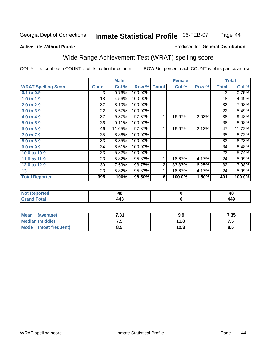## **Active Life Without Parole**

### Produced for **General Distribution**

# Wide Range Achievement Test (WRAT) spelling score

|                            |                 | <b>Male</b> |         |                | <b>Female</b> |       |              | <b>Total</b> |
|----------------------------|-----------------|-------------|---------|----------------|---------------|-------|--------------|--------------|
| <b>WRAT Spelling Score</b> | <b>Count</b>    | Col %       | Row %   | <b>Count</b>   | Col %         | Row % | <b>Total</b> | Col %        |
| $0.1$ to $0.9$             | 3               | 0.76%       | 100.00% |                |               |       | 3            | 0.75%        |
| 1.0 to 1.9                 | 18              | 4.56%       | 100.00% |                |               |       | 18           | 4.49%        |
| 2.0 to 2.9                 | 32              | 8.10%       | 100.00% |                |               |       | 32           | 7.98%        |
| 3.0 to 3.9                 | 22              | 5.57%       | 100.00% |                |               |       | 22           | 5.49%        |
| 4.0 to 4.9                 | 37              | 9.37%       | 97.37%  | 1              | 16.67%        | 2.63% | 38           | 9.48%        |
| 5.0 to 5.9                 | 36              | 9.11%       | 100.00% |                |               |       | 36           | 8.98%        |
| 6.0 to 6.9                 | 46              | 11.65%      | 97.87%  | 1              | 16.67%        | 2.13% | 47           | 11.72%       |
| 7.0 to 7.9                 | 35              | 8.86%       | 100.00% |                |               |       | 35           | 8.73%        |
| 8.0 to 8.9                 | $\overline{33}$ | 8.35%       | 100.00% |                |               |       | 33           | 8.23%        |
| 9.0 to 9.9                 | 34              | 8.61%       | 100.00% |                |               |       | 34           | 8.48%        |
| 10.0 to 10.9               | 23              | 5.82%       | 100.00% |                |               |       | 23           | 5.74%        |
| 11.0 to 11.9               | 23              | 5.82%       | 95.83%  | 1              | 16.67%        | 4.17% | 24           | 5.99%        |
| 12.0 to 12.9               | 30              | 7.59%       | 93.75%  | $\overline{2}$ | 33.33%        | 6.25% | 32           | 7.98%        |
| 13                         | 23              | 5.82%       | 95.83%  | 1              | 16.67%        | 4.17% | 24           | 5.99%        |
| <b>Total Reported</b>      | 395             | 100%        | 98.50%  | 6              | 100.0%        | 1.50% | 401          | 100.0%       |
|                            |                 |             |         |                |               |       |              |              |
| <b>Not Reported</b>        |                 | 48          |         |                | $\pmb{0}$     |       |              | 48           |
| <b>Grand Total</b>         |                 | 443         |         |                | $\bf 6$       |       |              | 449          |

| <b>Mean</b><br>(average)       | 7.94<br>.J I | 9.9  | 7.35     |
|--------------------------------|--------------|------|----------|
| <b>Median (middle)</b>         | ن. ا         | 11.8 | ں ،      |
| <b>Mode</b><br>(most frequent) | ၓ.ͻ          | 12.3 | o<br>ၓ.ͻ |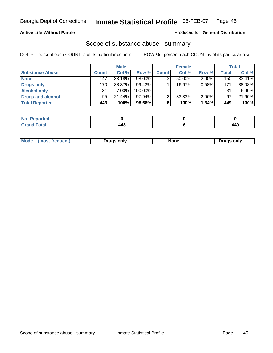### **Active Life Without Parole**

### Produced for **General Distribution**

## Scope of substance abuse - summary

|                        |              | <b>Male</b> |           |              | <b>Female</b> |          |       | Total    |
|------------------------|--------------|-------------|-----------|--------------|---------------|----------|-------|----------|
| <b>Substance Abuse</b> | <b>Count</b> | Col %       | Row %     | <b>Count</b> | Col %         | Row %    | Total | Col %    |
| <b>None</b>            | 147          | $33.18\%$   | 98.00%    |              | 50.00%        | $2.00\%$ | 150   | 33.41%   |
| Drugs only             | 170          | 38.37%      | $99.42\%$ |              | 16.67%        | 0.58%    | 171   | 38.08%   |
| <b>Alcohol only</b>    | 31           | $7.00\%$    | 100.00%   |              |               |          | 31    | $6.90\%$ |
| Drugs and alcohol      | 95           | $21.44\%$   | $97.94\%$ | ◠            | 33.33%        | 2.06%    | 97    | 21.60%   |
| <b>Total Reported</b>  | 443          | 100%        | 98.66%    | 6            | 100%          | 1.34%    | 449   | 100%     |

| <b>Reported</b><br>$\sim$ |  |      |
|---------------------------|--|------|
| <b>Total</b>              |  | A AC |
| $\sim$                    |  |      |

|  | Mode<br>ונוצוווי | Druas onlv | None | only<br>Pruas . |
|--|------------------|------------|------|-----------------|
|--|------------------|------------|------|-----------------|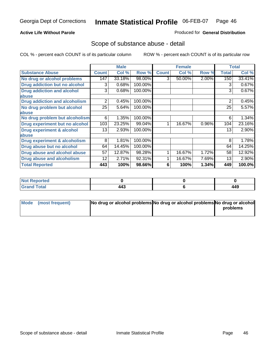## **Active Life Without Parole**

### Produced for **General Distribution**

## Scope of substance abuse - detail

|                                         |              | <b>Male</b> |         |              | <b>Female</b> |       |              | <b>Total</b> |
|-----------------------------------------|--------------|-------------|---------|--------------|---------------|-------|--------------|--------------|
| <b>Substance Abuse</b>                  | <b>Count</b> | Col %       | Row %   | <b>Count</b> | Col %         | Row % | <b>Total</b> | Col %        |
| No drug or alcohol problems             | 147          | 33.18%      | 98.00%  | 3            | 50.00%        | 2.00% | 150          | 33.41%       |
| Drug addiction but no alcohol           | 3            | 0.68%       | 100.00% |              |               |       | 3            | 0.67%        |
| <b>Drug addiction and alcohol</b>       | 3            | 0.68%       | 100.00% |              |               |       | 3            | 0.67%        |
| abuse                                   |              |             |         |              |               |       |              |              |
| <b>Drug addiction and alcoholism</b>    | 2            | 0.45%       | 100.00% |              |               |       | 2            | 0.45%        |
| No drug problem but alcohol             | 25           | 5.64%       | 100.00% |              |               |       | 25           | 5.57%        |
| abuse                                   |              |             |         |              |               |       |              |              |
| No drug problem but alcoholism          | 6            | 1.35%       | 100.00% |              |               |       | 6            | 1.34%        |
| Drug experiment but no alcohol          | 103          | 23.25%      | 99.04%  |              | 16.67%        | 0.96% | 104          | 23.16%       |
| <b>Drug experiment &amp; alcohol</b>    | 13           | 2.93%       | 100.00% |              |               |       | 13           | 2.90%        |
| abuse                                   |              |             |         |              |               |       |              |              |
| <b>Drug experiment &amp; alcoholism</b> | 8            | 1.81%       | 100.00% |              |               |       | 8            | 1.78%        |
| Drug abuse but no alcohol               | 64           | 14.45%      | 100.00% |              |               |       | 64           | 14.25%       |
| Drug abuse and alcohol abuse            | 57           | 12.87%      | 98.28%  |              | 16.67%        | 1.72% | 58           | 12.92%       |
| Drug abuse and alcoholism               | 12           | 2.71%       | 92.31%  |              | 16.67%        | 7.69% | 13           | 2.90%        |
| <b>Total Reported</b>                   | 443          | 100%        | 98.66%  | 6            | 100%          | 1.34% | 449          | 100.0%       |

| <b>Not Reported</b>          |             |     |
|------------------------------|-------------|-----|
| <b>Total</b><br><b>Grano</b> | 44°<br>44 J | 449 |

| Mode (most frequent) | No drug or alcohol problems No drug or alcohol problems No drug or alcohol |          |
|----------------------|----------------------------------------------------------------------------|----------|
|                      |                                                                            | problems |
|                      |                                                                            |          |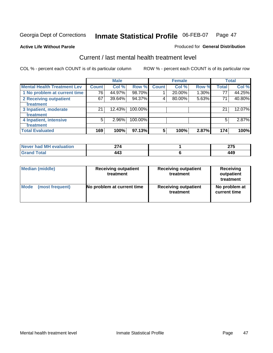**Active Life Without Parole** 

### Produced for **General Distribution**

## Current / last mental health treatment level

|                                    |              | <b>Male</b> |         |              | <b>Female</b> |          |              | <b>Total</b> |
|------------------------------------|--------------|-------------|---------|--------------|---------------|----------|--------------|--------------|
| <b>Mental Health Treatment Lev</b> | <b>Count</b> | Col %       | Row %   | <b>Count</b> | Col %         | Row %    | <b>Total</b> | Col %        |
| 1 No problem at current time       | 76           | 44.97%      | 98.70%  |              | 20.00%        | $1.30\%$ | 77           | 44.25%       |
| 2 Receiving outpatient             | 67           | 39.64%      | 94.37%  | 4            | 80.00%        | 5.63%    | 71           | 40.80%       |
| treatment                          |              |             |         |              |               |          |              |              |
| 3 Inpatient, moderate              | 21           | 12.43%      | 100.00% |              |               |          | 21           | 12.07%       |
| treatment                          |              |             |         |              |               |          |              |              |
| 4 Inpatient, intensive             | 5            | 2.96%       | 100.00% |              |               |          | 5            | 2.87%        |
| treatment                          |              |             |         |              |               |          |              |              |
| <b>Total Evaluated</b>             | 169          | 100%        | 97.13%  | 5            | 100%          | 2.87%    | 174          | 100%         |

| Never had MH evaluation | י לי | ~-- |
|-------------------------|------|-----|
| Total                   | 443  | 449 |

| <b>Median (middle)</b> | <b>Receiving outpatient</b><br>treatment | <b>Receiving outpatient</b><br>treatment | <b>Receiving</b><br>outpatient<br>treatment |  |
|------------------------|------------------------------------------|------------------------------------------|---------------------------------------------|--|
| <b>Mode</b>            | No problem at current time               | <b>Receiving outpatient</b>              | No problem at                               |  |
| (most frequent)        |                                          | treatment                                | current time                                |  |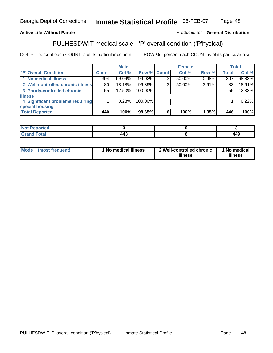## **Active Life Without Parole**

### Produced for **General Distribution**

## PULHESDWIT medical scale - 'P' overall condition ('P'hysical)

|                                   |              | <b>Male</b> |                    |   | <b>Female</b> |          |              | <b>Total</b> |
|-----------------------------------|--------------|-------------|--------------------|---|---------------|----------|--------------|--------------|
| 'P' Overall Condition             | <b>Count</b> | Col %       | <b>Row % Count</b> |   | Col %         | Row %    | <b>Total</b> | Col %        |
| 1 No medical illness              | 304          | $69.09\%$   | 99.02%             | ົ | 50.00%        | $0.98\%$ | 307          | 68.83%       |
| 2 Well-controlled chronic illness | 80           | 18.18%      | 96.39%             | 3 | $50.00\%$     | 3.61%    | 83           | 18.61%       |
| 3 Poorly-controlled chronic       | 55           | 12.50%      | 100.00%            |   |               |          | 55           | 12.33%       |
| <b>illness</b>                    |              |             |                    |   |               |          |              |              |
| 4 Significant problems requiring  |              | 0.23%       | 100.00%            |   |               |          |              | 0.22%        |
| special housing                   |              |             |                    |   |               |          |              |              |
| <b>Total Reported</b>             | 440          | 100%        | 98.65%             | 6 | 100%          | 1.35%    | 446          | 100%         |

| <b>Not Reported</b> |     |     |
|---------------------|-----|-----|
| <b>Grand Total</b>  | 443 | 449 |

| ' No medical illness<br><b>Mode</b><br>(most frequent) | 2 Well-controlled chronic<br>illness | 1 No medical<br>illness |
|--------------------------------------------------------|--------------------------------------|-------------------------|
|--------------------------------------------------------|--------------------------------------|-------------------------|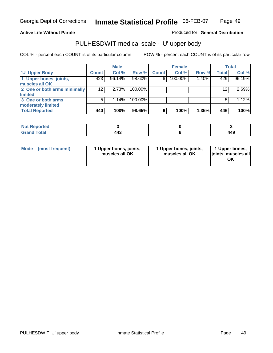## **Active Life Without Parole**

Produced for **General Distribution**

# PULHESDWIT medical scale - 'U' upper body

|                              |              | <b>Male</b> |         |              | <b>Female</b> |       |              | <b>Total</b> |
|------------------------------|--------------|-------------|---------|--------------|---------------|-------|--------------|--------------|
| <b>TU' Upper Body</b>        | <b>Count</b> | Col %       | Row %   | <b>Count</b> | Col %         | Row % | <b>Total</b> | Col %        |
| 1 Upper bones, joints,       | 423          | 96.14%      | 98.60%  | 6            | 100.00%       | 1.40% | 429          | 96.19%       |
| muscles all OK               |              |             |         |              |               |       |              |              |
| 2 One or both arms minimally | 12           | 2.73%       | 100.00% |              |               |       | 12           | 2.69%        |
| limited                      |              |             |         |              |               |       |              |              |
| 3 One or both arms           | 5            | 1.14%       | 100.00% |              |               |       | 5            | 1.12%        |
| moderately limited           |              |             |         |              |               |       |              |              |
| <b>Total Reported</b>        | 440          | 100%        | 98.65%  | 6            | 100%          | 1.35% | 446          | 100%         |

| المصائف<br>Reported<br><b>NOT</b><br>. |                                |                         |
|----------------------------------------|--------------------------------|-------------------------|
| .'otal<br>_____                        | $\overline{ }$<br>--<br>$\sim$ | 4 A C<br>-- 3<br>$\sim$ |

| Mode | (most frequent) | 1 Upper bones, joints,<br>muscles all OK | 1 Upper bones, joints,<br>muscles all OK | 1 Upper bones,<br>joints, muscles all |
|------|-----------------|------------------------------------------|------------------------------------------|---------------------------------------|
|------|-----------------|------------------------------------------|------------------------------------------|---------------------------------------|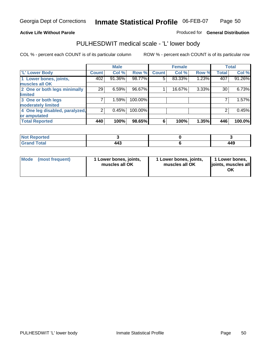### **Active Life Without Parole**

### Produced for **General Distribution**

## PULHESDWIT medical scale - 'L' lower body

|                                |                    | <b>Male</b> |         |              | <b>Female</b> |       |              | <b>Total</b> |
|--------------------------------|--------------------|-------------|---------|--------------|---------------|-------|--------------|--------------|
| 'L' Lower Body                 | Count <sup>1</sup> | Col %       | Row %   | <b>Count</b> | Col %         | Row % | <b>Total</b> | Col %        |
| 1 Lower bones, joints,         | 402                | 91.36%      | 98.77%  | 5            | 83.33%        | 1.23% | 407          | 91.26%       |
| muscles all OK                 |                    |             |         |              |               |       |              |              |
| 2 One or both legs minimally   | 29                 | 6.59%       | 96.67%  |              | 16.67%        | 3.33% | 30           | 6.73%        |
| limited                        |                    |             |         |              |               |       |              |              |
| 3 One or both legs             | 7                  | 1.59%       | 100.00% |              |               |       |              | 1.57%        |
| moderately limited             |                    |             |         |              |               |       |              |              |
| 4 One leg disabled, paralyzed, | $\overline{2}$     | 0.45%       | 100.00% |              |               |       | 2            | 0.45%        |
| or amputated                   |                    |             |         |              |               |       |              |              |
| <b>Total Reported</b>          | 440                | 100%        | 98.65%  | 6            | 100%          | 1.35% | 446          | 100.0%       |

| N <sub>of</sub><br><b>ported</b>       |     |              |
|----------------------------------------|-----|--------------|
| <b>Total</b><br><b>C</b> usu<br>------ | 443 | 4 A O<br>443 |

|  | Mode (most frequent) | 1 Lower bones, joints,<br>muscles all OK | 1 Lower bones, joints,<br>muscles all OK | 1 Lower bones,<br>joints, muscles all<br>OK |
|--|----------------------|------------------------------------------|------------------------------------------|---------------------------------------------|
|--|----------------------|------------------------------------------|------------------------------------------|---------------------------------------------|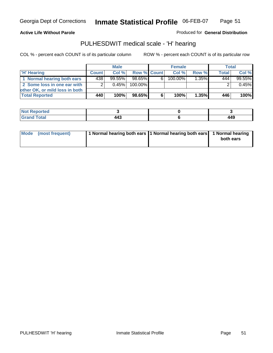### **Active Life Without Parole**

Produced for **General Distribution**

## PULHESDWIT medical scale - 'H' hearing

|                                |                | <b>Male</b> |             |    | <b>Female</b> |       | <b>Total</b> |         |
|--------------------------------|----------------|-------------|-------------|----|---------------|-------|--------------|---------|
| 'H' Hearing                    | <b>Count</b>   | Col%        | Row % Count |    | Col%          | Row % | <b>Total</b> | Col %   |
| 1 Normal hearing both ears     | 438            | $99.55\%$   | 98.65%      | 61 | 100.00%       | 1.35% | 444          | 99.55%  |
| 2 Some loss in one ear with    | 2 <sub>1</sub> | 0.45%       | 100.00%     |    |               |       |              | 0.45%   |
| other OK, or mild loss in both |                |             |             |    |               |       |              |         |
| <b>Total Reported</b>          | 440            | 100%        | 98.65%      | 6  | 100%          | 1.35% | 446          | $100\%$ |

| тео<br>- 131          |     |              |
|-----------------------|-----|--------------|
| ------<br>----- ----- | $-$ | 1 A C<br>44J |

| Mode (most frequent) | 1 Normal hearing both ears 1 Normal hearing both ears 1 Normal hearing | both ears |
|----------------------|------------------------------------------------------------------------|-----------|
|                      |                                                                        |           |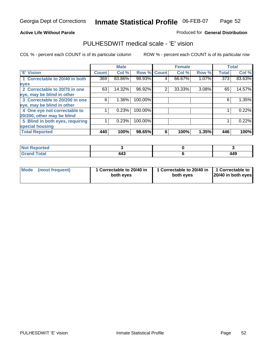### **Active Life Without Parole**

## Produced for **General Distribution**

## PULHESDWIT medical scale - 'E' vision

|                                 |              | <b>Male</b> |                    |   | <b>Female</b> |       |                  | <b>Total</b> |
|---------------------------------|--------------|-------------|--------------------|---|---------------|-------|------------------|--------------|
| 'E' Vision                      | <b>Count</b> | Col %       | <b>Row % Count</b> |   | Col %         | Row % | <b>Total</b>     | Col %        |
| 1 Correctable to 20/40 in both  | 369          | 83.86%      | 98.93%             | 4 | 66.67%        | 1.07% | $\overline{373}$ | 83.63%       |
| eyes                            |              |             |                    |   |               |       |                  |              |
| 2 Correctable to 20/70 in one   | 63           | 14.32%      | 96.92%             | 2 | 33.33%        | 3.08% | 65               | 14.57%       |
| eye, may be blind in other      |              |             |                    |   |               |       |                  |              |
| 3 Correctable to 20/200 in one  | 6            | $1.36\%$    | 100.00%            |   |               |       | 6                | 1.35%        |
| eye, may be blind in other      |              |             |                    |   |               |       |                  |              |
| 4 One eye not correctable to    |              | 0.23%       | 100.00%            |   |               |       |                  | 0.22%        |
| 20/200, other may be blind      |              |             |                    |   |               |       |                  |              |
| 5 Blind in both eyes, requiring |              | 0.23%       | 100.00%            |   |               |       |                  | 0.22%        |
| special housing                 |              |             |                    |   |               |       |                  |              |
| <b>Total Reported</b>           | 440          | 100%        | 98.65%             | 6 | 100%          | 1.35% | 446              | 100%         |

| <b>Not</b><br><b>eported</b><br>. <b>.</b> . |                                 |            |
|----------------------------------------------|---------------------------------|------------|
| Tota <sup>l</sup><br>$C = 1$<br>_____        | $\overline{ }$<br>74J<br>$\sim$ | 110<br>443 |

| Mode | (most frequent) | 1 Correctable to 20/40 in<br>both eves | 1 Correctable to 20/40 in   1 Correctable to<br>both eves | 20/40 in both eyes |
|------|-----------------|----------------------------------------|-----------------------------------------------------------|--------------------|
|------|-----------------|----------------------------------------|-----------------------------------------------------------|--------------------|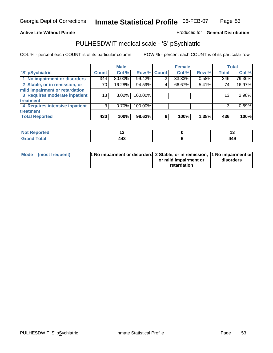## **Active Life Without Parole**

## Produced for **General Distribution**

## PULHESDWIT medical scale - 'S' pSychiatric

|                                |              | <b>Male</b> |             |   | <b>Female</b> |       |              | <b>Total</b> |
|--------------------------------|--------------|-------------|-------------|---|---------------|-------|--------------|--------------|
| 'S' pSychiatric                | <b>Count</b> | Col %       | Row % Count |   | Col %         | Row % | <b>Total</b> | Col %        |
| 1 No impairment or disorders   | 344          | 80.00%      | 99.42%      | 2 | 33.33%        | 0.58% | 346          | 79.36%       |
| 2 Stable, or in remission, or  | 70 l         | 16.28%      | 94.59%      | 4 | 66.67%        | 5.41% | 74           | 16.97%       |
| mild impairment or retardation |              |             |             |   |               |       |              |              |
| 3 Requires moderate inpatient  | 13           | $3.02\%$    | 100.00%     |   |               |       | 13           | 2.98%        |
| treatment                      |              |             |             |   |               |       |              |              |
| 4 Requires intensive inpatient | 3            | $0.70\%$    | 100.00%     |   |               |       | 3            | 0.69%        |
| treatment                      |              |             |             |   |               |       |              |              |
| <b>Total Reported</b>          | 430          | 100%        | 98.62%      | 6 | 100%          | 1.38% | 436          | 100%         |

| orted        |          |     |
|--------------|----------|-----|
| <b>Total</b> | -<br>44. | 449 |

| Mode (most frequent) | 1 No impairment or disorders 2 Stable, or in remission, 11 No impairment or |                       |           |
|----------------------|-----------------------------------------------------------------------------|-----------------------|-----------|
|                      |                                                                             | or mild impairment or | disorders |
|                      |                                                                             | retardation           |           |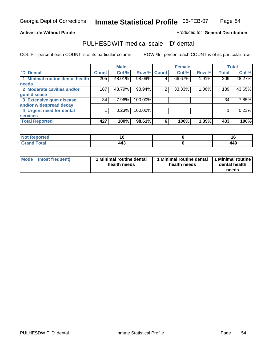### **Active Life Without Parole**

Produced for **General Distribution**

## PULHESDWIT medical scale - 'D' dental

|                                 |              | <b>Male</b> |                    |   | <b>Female</b> |       |              | <b>Total</b> |
|---------------------------------|--------------|-------------|--------------------|---|---------------|-------|--------------|--------------|
| 'D' Dental                      | <b>Count</b> | Col %       | <b>Row % Count</b> |   | Col %         | Row % | <b>Total</b> | Col %        |
| 1 Minimal routine dental health | 205          | 48.01%      | 98.09%             | 4 | 66.67%        | 1.91% | 209          | 48.27%       |
| <b>needs</b>                    |              |             |                    |   |               |       |              |              |
| 2 Moderate cavities and/or      | 187          | 43.79%      | 98.94%             | 2 | 33.33%        | 1.06% | 189          | 43.65%       |
| gum disease                     |              |             |                    |   |               |       |              |              |
| 3 Extensive gum disease         | 34           | 7.96%       | 100.00%            |   |               |       | 34           | 7.85%        |
| and/or widespread decay         |              |             |                    |   |               |       |              |              |
| 4 Urgent need for dental        |              | 0.23%       | 100.00%            |   |               |       |              | 0.23%        |
| <b>services</b>                 |              |             |                    |   |               |       |              |              |
| <b>Total Reported</b>           | 427          | 100%        | 98.61%             | 6 | 100%          | 1.39% | 433          | 100%         |

| Reported<br><b>NOT</b> |          | 10                       |
|------------------------|----------|--------------------------|
| <b>Total</b>           | .<br>443 | <i><b>AAC</b></i><br>443 |

| <b>Mode</b><br>(most frequent) | <b>Minimal routine dental</b><br>health needs | 1 Minimal routine dental<br>health needs | 11 Minimal routine<br>dental health<br>needs |
|--------------------------------|-----------------------------------------------|------------------------------------------|----------------------------------------------|
|--------------------------------|-----------------------------------------------|------------------------------------------|----------------------------------------------|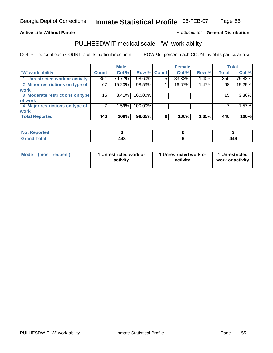### **Active Life Without Parole**

### Produced for **General Distribution**

## PULHESDWIT medical scale - 'W' work ability

|                                 |                 | <b>Male</b> |             |   | <b>Female</b> |       |              | <b>Total</b> |
|---------------------------------|-----------------|-------------|-------------|---|---------------|-------|--------------|--------------|
| <b>W' work ability</b>          | <b>Count</b>    | Col %       | Row % Count |   | Col %         | Row % | <b>Total</b> | Col %        |
| 1 Unrestricted work or activity | 351             | 79.77%      | 98.60%      | 5 | 83.33%        | 1.40% | 356          | 79.82%       |
| 2 Minor restrictions on type of | 67              | 15.23%      | 98.53%      |   | 16.67%        | 1.47% | 68           | 15.25%       |
| work                            |                 |             |             |   |               |       |              |              |
| 3 Moderate restrictions on type | 15 <sup>1</sup> | $3.41\%$    | 100.00%     |   |               |       | 15           | 3.36%        |
| of work                         |                 |             |             |   |               |       |              |              |
| 4 Major restrictions on type of |                 | 1.59%       | 100.00%     |   |               |       |              | 1.57%        |
| <b>work</b>                     |                 |             |             |   |               |       |              |              |
| <b>Total Reported</b>           | 440             | 100%        | 98.65%      | 6 | 100%          | 1.35% | 446          | 100%         |

| Reported<br><b>NOT</b> |     |     |
|------------------------|-----|-----|
| <b>Total</b><br>_____  | 443 | 449 |

| Mode (most frequent) | 1 Unrestricted work or<br>activity | 1 Unrestricted work or<br>activity | 1 Unrestricted<br>work or activity |  |
|----------------------|------------------------------------|------------------------------------|------------------------------------|--|
|                      |                                    |                                    |                                    |  |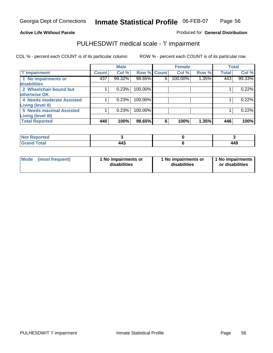Page 56

### **Active Life Without Parole**

### Produced for **General Distribution**

## PULHESDWIT medical scale - 'I' impairment

|                                            |              | <b>Male</b> |                    |   | <b>Female</b> |       |              | <b>Total</b> |
|--------------------------------------------|--------------|-------------|--------------------|---|---------------|-------|--------------|--------------|
| <b>T' Impairment</b>                       | <b>Count</b> | Col %       | <b>Row % Count</b> |   | Col %         | Row % | <b>Total</b> | Col %        |
| 1 No impairments or<br><b>disabilities</b> | 437          | 99.32%      | 98.65%             | 6 | 100.00%       | 1.35% | 443          | 99.33%       |
| 2 Wheelchair-bound but                     |              | 0.23%       | 100.00%            |   |               |       |              | 0.22%        |
| otherwise OK                               |              |             |                    |   |               |       |              |              |
| 4 Needs moderate Assisted                  |              | 0.23%       | 100.00%            |   |               |       |              | 0.22%        |
| Living (level II)                          |              |             |                    |   |               |       |              |              |
| <b>5 Needs maximal Assisted</b>            |              | 0.23%       | 100.00%            |   |               |       |              | 0.22%        |
| <b>Living (level III)</b>                  |              |             |                    |   |               |       |              |              |
| <b>Total Reported</b>                      | 440          | 100%        | 98.65%             | 6 | 100%          | 1.35% | 446          | 100%         |

| Reported<br>NOT F       |     |     |
|-------------------------|-----|-----|
| <b>Total</b><br>' Grand | 443 | 449 |

| Mode | (most frequent) | 1 No impairments or<br>disabilities | 1 No impairments or<br>disabilities | 1 No impairments<br>or disabilities |
|------|-----------------|-------------------------------------|-------------------------------------|-------------------------------------|
|------|-----------------|-------------------------------------|-------------------------------------|-------------------------------------|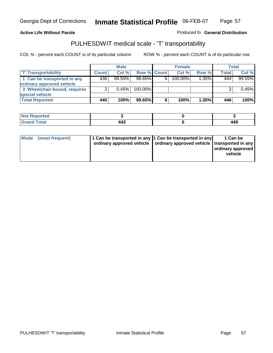### **Inmate Statistical Profile** 06-FEB-07 Page Page 57

### **Active Life Without Parole Produced fo Seneral Distribution**

## PULHESDWIT medical scale - 'T' transportability

|                              |              | <b>Male</b> |             |    | <b>Female</b> |          |       | Total  |
|------------------------------|--------------|-------------|-------------|----|---------------|----------|-------|--------|
| <b>T' Transportability</b>   | <b>Count</b> | Col%        | Row % Count |    | Col %         | Row %    | Total | Col %  |
| 1 Can be transported in any  | 438          | 99.55%      | $98.65\%$   | 6. | $100.00\%$    | $1.35\%$ | 444   | 99.55% |
| ordinary approved vehicle    |              |             |             |    |               |          |       |        |
| 3 Wheelchair-bound, requires |              | 0.45%       | $100.00\%$  |    |               |          |       | 0.45%  |
| special vehicle              |              |             |             |    |               |          |       |        |
| <b>Total Reported</b>        | 440          | 100%        | 98.65%      | 6  | 100%          | $1.35\%$ | 446   | 100%   |

| Reported    |                                          |     |
|-------------|------------------------------------------|-----|
| <b>otal</b> | $\mathbf{A} \mathbf{A}^{\bullet}$<br>447 | 449 |

| Mode<br>(most frequent) | 1 Can be transported in any 1 Can be transported in any | ordinary approved vehicle   ordinary approved vehicle   transported in any | 1 Can be<br>ordinary approved  <br>vehicle |
|-------------------------|---------------------------------------------------------|----------------------------------------------------------------------------|--------------------------------------------|
|-------------------------|---------------------------------------------------------|----------------------------------------------------------------------------|--------------------------------------------|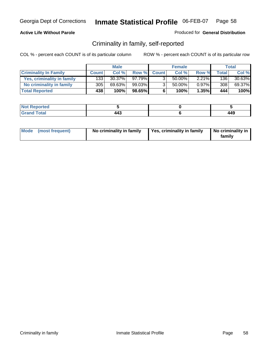## **Active Life Without Parole**

### Produced for **General Distribution**

## Criminality in family, self-reported

|                              |              | <b>Male</b> |        |                | <b>Female</b> |          |       | Total  |
|------------------------------|--------------|-------------|--------|----------------|---------------|----------|-------|--------|
| <b>Criminality In Family</b> | <b>Count</b> | Col %       | Row %  | <b>Count</b>   | Col %         | Row %    | Total | Col %  |
| Yes, criminality in family   | 133          | $30.37\%$   | 97.79% | 3              | 50.00%        | $2.21\%$ | 136   | 30.63% |
| No criminality in family     | 305          | 69.63%      | 99.03% | 3 <sub>1</sub> | 50.00%        | $0.97\%$ | 308   | 69.37% |
| <b>Total Reported</b>        | 438          | 100%        | 98.65% | 6              | 100%          | 1.35%    | 444   | 100%   |

| ported<br><b>NO</b><br><b>AINGL</b> |               |              |
|-------------------------------------|---------------|--------------|
| $\sim$<br>Grar<br>---               | TTV<br>$\sim$ | 1 1 C<br>443 |

| Mode (most frequent) | No criminality in family | Yes, criminality in family | No criminality in<br>family |
|----------------------|--------------------------|----------------------------|-----------------------------|
|----------------------|--------------------------|----------------------------|-----------------------------|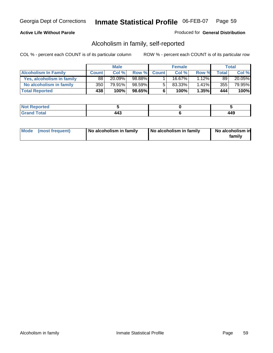## **Active Life Without Parole**

### Produced for **General Distribution**

## Alcoholism in family, self-reported

|                             |              | <b>Male</b> |           |              | <b>Female</b> |          |       | Total  |
|-----------------------------|--------------|-------------|-----------|--------------|---------------|----------|-------|--------|
| <b>Alcoholism In Family</b> | <b>Count</b> | Col %       | Row %     | <b>Count</b> | Col %         | Row %    | Total | Col %  |
| Yes, alcoholism in family   | 88           | 20.09%      | 98.88%    |              | 16.67%        | $1.12\%$ | 89    | 20.05% |
| No alcoholism in family     | 350          | 79.91%      | 98.59%    | 5            | 83.33%        | $1.41\%$ | 355   | 79.95% |
| <b>Total Reported</b>       | 438'         | 100%        | $98.65\%$ | 6            | 100%          | 1.35%    | 444   | 100%   |

| <b>Not</b><br>oorted<br><b>IJCI</b> |               |     |
|-------------------------------------|---------------|-----|
| Total<br>Gran<br>---                | 74J<br>$\sim$ | 440 |

|  | Mode (most frequent) | No alcoholism in family | No alcoholism in family | No alcoholism in<br>familv |
|--|----------------------|-------------------------|-------------------------|----------------------------|
|--|----------------------|-------------------------|-------------------------|----------------------------|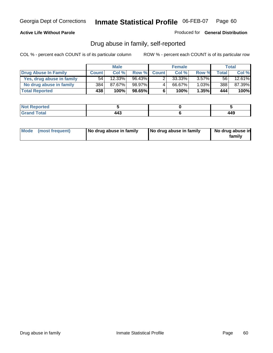### **Active Life Without Parole**

Produced for **General Distribution**

## Drug abuse in family, self-reported

|                           |              | <b>Male</b>          |        |              | <b>Female</b> |          |              | Total  |
|---------------------------|--------------|----------------------|--------|--------------|---------------|----------|--------------|--------|
| Drug Abuse In Family      | <b>Count</b> | Col %                | Row %  | <b>Count</b> | Col %         | Row %    | <b>Total</b> | Col %  |
| Yes, drug abuse in family | 54           | $12.\overline{33\%}$ | 96.43% |              | $33.33\%$     | $3.57\%$ | 56 I         | 12.61% |
| No drug abuse in family   | 384          | 87.67%               | 98.97% | 4            | 66.67%        | $1.03\%$ | 388          | 87.39% |
| <b>Total Reported</b>     | 438          | 100%                 | 98.65% | 6            | 100%          | 1.35%    | 444          | 100%   |

| <b>Not</b><br>oorted<br><b>IJCI</b> |               |     |
|-------------------------------------|---------------|-----|
| Total<br>Gran<br>---                | 74J<br>$\sim$ | 440 |

|  | Mode (most frequent) | No drug abuse in family | No drug abuse in family | No drug abuse in<br>family |
|--|----------------------|-------------------------|-------------------------|----------------------------|
|--|----------------------|-------------------------|-------------------------|----------------------------|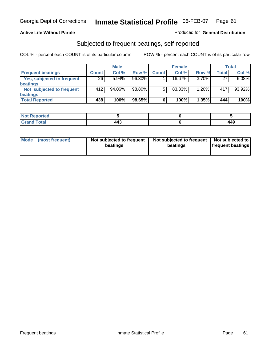### **Active Life Without Parole**

### Produced for **General Distribution**

## Subjected to frequent beatings, self-reported

|                            |              | <b>Male</b> |        |              | <b>Female</b> |          |       | Total  |
|----------------------------|--------------|-------------|--------|--------------|---------------|----------|-------|--------|
| <b>Frequent beatings</b>   | <b>Count</b> | Col %       | Row %  | <b>Count</b> | Col%          | Row %    | Total | Col %  |
| Yes, subjected to frequent | 26           | $5.94\%$    | 96.30% |              | $16.67\%$     | $3.70\%$ | 27    | 6.08%  |
| <b>beatings</b>            |              |             |        |              |               |          |       |        |
| Not subjected to frequent  | 412          | $94.06\%$   | 98.80% | 5            | 83.33%        | 1.20%    | 417   | 93.92% |
| beatings                   |              |             |        |              |               |          |       |        |
| <b>Total Reported</b>      | 438          | 100%        | 98.65% | 6            | 100%          | 1.35%    | 444   | 100%   |

| <b>Not Reported</b>       |                |       |
|---------------------------|----------------|-------|
| T <sub>ofol</sub><br>υιαι | $\overline{ }$ | 1 1 O |

| Mode<br>(most frequent) | beatings | Not subjected to frequent | Not subjected to frequent<br>beatings | Not subjected to<br><b>frequent beatings</b> |
|-------------------------|----------|---------------------------|---------------------------------------|----------------------------------------------|
|                         |          |                           |                                       |                                              |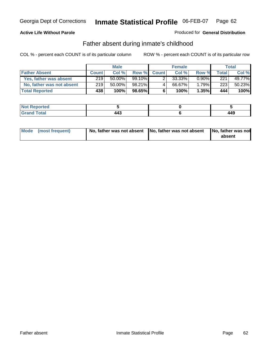## **Active Life Without Parole**

### Produced for **General Distribution**

## Father absent during inmate's childhood

|                           |              | <b>Male</b> |           |              | <b>Female</b> |          |       | Total  |
|---------------------------|--------------|-------------|-----------|--------------|---------------|----------|-------|--------|
| <b>Father Absent</b>      | <b>Count</b> | Col%        | Row %     | <b>Count</b> | Col %         | Row %    | Total | Col %  |
| Yes, father was absent    | 219          | 50.00%      | 99.10%    |              | 33.33%        | $0.90\%$ | 221   | 49.77% |
| No, father was not absent | 219          | 50.00%      | 98.21%    | 4            | 66.67%        | $1.79\%$ | 223   | 50.23% |
| <b>Total Reported</b>     | 438          | $100\%$     | $98.65\%$ | 6            | 100%          | $1.35\%$ | 444   | 100%   |

| ported<br><b>NO</b><br><b>AINGL</b> |               |              |
|-------------------------------------|---------------|--------------|
| $\sim$<br>Grar<br>---               | TTV<br>$\sim$ | 1 1 C<br>443 |

| Mode (most frequent) |  | 「No, father was not absent ┃No, father was not absent ┃No, father was not | absent |
|----------------------|--|---------------------------------------------------------------------------|--------|
|----------------------|--|---------------------------------------------------------------------------|--------|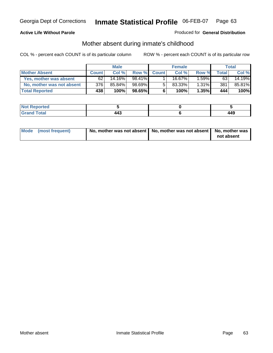### **Active Life Without Parole**

### Produced for **General Distribution**

# Mother absent during inmate's childhood

|                           |              | <b>Male</b> |           |              | <b>Female</b> |          |       | Total  |
|---------------------------|--------------|-------------|-----------|--------------|---------------|----------|-------|--------|
| <b>Mother Absent</b>      | <b>Count</b> | Col %       | Row %     | <b>Count</b> | Col %         | Row %    | Total | Col %  |
| Yes, mother was absent    | 62           | 14.16%      | 98.41%    |              | 16.67%        | $.59\%$  | 63    | 14.19% |
| No, mother was not absent | 3761         | 85.84%      | 98.69%    | 5            | 83.33%        | $1.31\%$ | 381   | 85.81% |
| <b>Total Reported</b>     | 438          | 100%        | $98.65\%$ | 6            | 100%          | 1.35%    | 444   | 100%   |

| <b>Not Reported</b> |    |       |
|---------------------|----|-------|
| Гоtal               | -  | 4 A O |
| Gran                | __ | 443   |

| Mode (most frequent) | No, mother was not absent $\vert$ No, mother was not absent $\vert$ No, mother was | not absent |
|----------------------|------------------------------------------------------------------------------------|------------|
|                      |                                                                                    |            |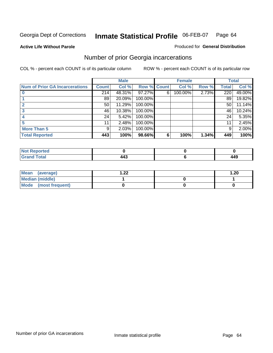**Active Life Without Parole** 

### Produced for **General Distribution**

# Number of prior Georgia incarcerations

|                                |              | <b>Male</b> |         |              | <b>Female</b> |       |       | <b>Total</b> |
|--------------------------------|--------------|-------------|---------|--------------|---------------|-------|-------|--------------|
| Num of Prior GA Incarcerations | <b>Count</b> | Col %       | Row %   | <b>Count</b> | Col %         | Row % | Total | Col %        |
|                                | 214          | 48.31%      | 97.27%  | 6            | 100.00%       | 2.73% | 220   | 49.00%       |
|                                | 89           | 20.09%      | 100.00% |              |               |       | 89    | 19.82%       |
|                                | 50           | 11.29%      | 100.00% |              |               |       | 50    | 11.14%       |
|                                | 46           | 10.38%      | 100.00% |              |               |       | 46    | 10.24%       |
|                                | 24           | 5.42%       | 100.00% |              |               |       | 24    | 5.35%        |
|                                | 11           | 2.48%       | 100.00% |              |               |       | 11    | 2.45%        |
| <b>More Than 5</b>             | 9            | 2.03%       | 100.00% |              |               |       | 9     | 2.00%        |
| <b>Total Reported</b>          | 443          | 100%        | 98.66%  | 6            | 100%          | 1.34% | 449   | 100%         |

| Reported<br>NOT.                |  |     |
|---------------------------------|--|-----|
| <b>otal</b><br>$\mathbf{v}$ and |  | 449 |

| Mean (average)       | ົາາ<br>I . <i>ll</i> | .20 |
|----------------------|----------------------|-----|
| Median (middle)      |                      |     |
| Mode (most frequent) |                      |     |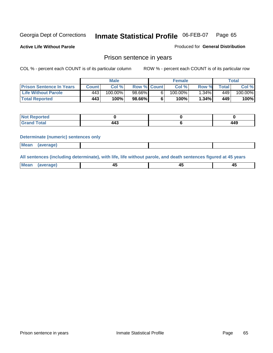**Active Life Without Parole** 

Produced for **General Distribution**

## Prison sentence in years

COL % - percent each COUNT is of its particular column ROW % - percent each COUNT is of its particular row

|                                 |       | <b>Male</b> |                    | <b>Female</b> |       |       | Total   |
|---------------------------------|-------|-------------|--------------------|---------------|-------|-------|---------|
| <b>Prison Sentence In Years</b> | Count | Col %       | <b>Row % Count</b> | Col %         | Row % | Total | Col %   |
| <b>Life Without Parole</b>      | 443'  | $100.00\%$  | 98.66%             | 100.00%       | .34%  | 449'  | 100.00% |
| <b>Total Reported</b>           | 443   | 100%        | 98.66%             | 100%          | 1.34% | 449   | 100%    |

| porteg                   |    |     |
|--------------------------|----|-----|
| <b>Total</b><br>$\sim$ . | -- | 449 |

### **Determinate (numeric) sentences only**

|--|

**All sentences (including determinate), with life, life without parole, and death sentences figured at 45 years**

| Me:<br>апет<br>.<br>᠇<br>$\sim$ | -- | т.<br>$\sim$ |
|---------------------------------|----|--------------|
|---------------------------------|----|--------------|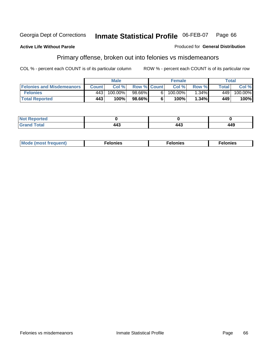### **Active Life Without Parole**

### Produced for **General Distribution**

# Primary offense, broken out into felonies vs misdemeanors

|                                  | <b>Male</b>  |         |                    |    | <b>Female</b> | Total    |        |         |
|----------------------------------|--------------|---------|--------------------|----|---------------|----------|--------|---------|
| <b>Felonies and Misdemeanors</b> | <b>Count</b> | Col%    | <b>Row % Count</b> |    | Col%          | Row %    | Total. | Col %   |
| <b>Felonies</b>                  | 443          | 100.00% | 98.66%             | 61 | $100.00\%$    | $1.34\%$ | 449    | 100.00% |
| <b>Total Reported</b>            | 443          | 100%    | $98.66\%$          |    | 100%          | .34%     | 449    | 100%    |

| <b>Not</b><br><b>Reported</b><br>$\sim$                       |                       |     |     |
|---------------------------------------------------------------|-----------------------|-----|-----|
| $\mathcal{L}$ at all<br>.Grori<br>$\mathbf{v}$ . $\mathbf{u}$ | $\overline{ }$<br>443 | 443 | 449 |

| M<br>$\cdots$<br>пю.<br>. | nies<br>. | . |
|---------------------------|-----------|---|
|---------------------------|-----------|---|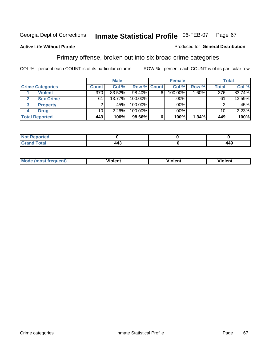### **Active Life Without Parole**

### Produced for **General Distribution**

## Primary offense, broken out into six broad crime categories

|                         |                  | <b>Male</b> |                    |   | <b>Female</b> |          |              | <b>Total</b> |  |  |
|-------------------------|------------------|-------------|--------------------|---|---------------|----------|--------------|--------------|--|--|
| <b>Crime Categories</b> | <b>Count</b>     | Col %       | <b>Row % Count</b> |   | Col %         | Row %    | <b>Total</b> | Col %        |  |  |
| <b>Violent</b>          | $\overline{370}$ | 83.52%      | 98.40%             | 6 | 100.00%       | $1.60\%$ | 376          | 83.74%       |  |  |
| <b>Sex Crime</b>        | 61               | $13.77\%$   | 100.00%            |   | .00%          |          | 61           | 13.59%       |  |  |
| 3<br><b>Property</b>    | 2                | .45%        | 100.00%            |   | .00%          |          | 2            | $.45\%$      |  |  |
| <b>Drug</b>             | 10 <sup>1</sup>  | 2.26%       | 100.00%            |   | .00%          |          | 10           | 2.23%        |  |  |
| <b>Total Reported</b>   | 443              | 100%        | 98.66%             | 6 | 100%          | 1.34%    | 449          | 100%         |  |  |

| .<br>____ | $\overline{\phantom{a}}$<br>$\sim$ | 449 |
|-----------|------------------------------------|-----|

| Mode<br>frequent)<br>ns | - --<br>'ıolent | <br>Violent | ′iolent |
|-------------------------|-----------------|-------------|---------|
|                         |                 |             |         |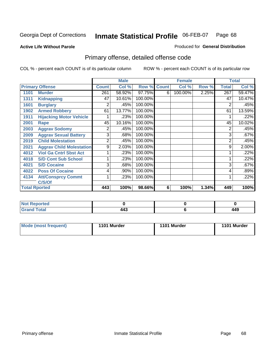### **Active Life Without Parole**

### Produced for **General Distribution**

# Primary offense, detailed offense code

|      |                                 |              | <b>Male</b> |             |   | <b>Female</b> |       |              | <b>Total</b> |
|------|---------------------------------|--------------|-------------|-------------|---|---------------|-------|--------------|--------------|
|      | <b>Primary Offense</b>          | <b>Count</b> | Col %       | Row % Count |   | Col %         | Row % | <b>Total</b> | Col %        |
| 1101 | <b>Murder</b>                   | 261          | 58.92%      | 97.75%      | 6 | 100.00%       | 2.25% | 267          | 59.47%       |
| 1311 | <b>Kidnapping</b>               | 47           | 10.61%      | 100.00%     |   |               |       | 47           | 10.47%       |
| 1601 | <b>Burglary</b>                 | 2            | .45%        | 100.00%     |   |               |       | 2            | .45%         |
| 1902 | <b>Armed Robbery</b>            | 61           | 13.77%      | 100.00%     |   |               |       | 61           | 13.59%       |
| 1911 | <b>Hijacking Motor Vehicle</b>  |              | .23%        | 100.00%     |   |               |       |              | .22%         |
| 2001 | Rape                            | 45           | 10.16%      | 100.00%     |   |               |       | 45           | 10.02%       |
| 2003 | <b>Aggrav Sodomy</b>            | 2            | .45%        | 100.00%     |   |               |       | 2            | .45%         |
| 2009 | <b>Aggrav Sexual Battery</b>    | 3            | .68%        | 100.00%     |   |               |       | 3            | .67%         |
| 2019 | <b>Child Molestation</b>        | 2            | .45%        | 100.00%     |   |               |       | 2            | .45%         |
| 2021 | <b>Aggrav Child Molestation</b> | 9            | 2.03%       | 100.00%     |   |               |       | 9            | 2.00%        |
| 4012 | <b>Viol Ga Cntrl Sbst Act</b>   |              | .23%        | 100.00%     |   |               |       |              | .22%         |
| 4018 | <b>S/D Cont Sub School</b>      |              | .23%        | 100.00%     |   |               |       |              | .22%         |
| 4021 | <b>S/D Cocaine</b>              | 3            | .68%        | 100.00%     |   |               |       | 3            | .67%         |
| 4022 | <b>Poss Of Cocaine</b>          | 4            | .90%        | 100.00%     |   |               |       | 4            | .89%         |
| 4134 | <b>Att/Consprcy Commt</b>       | 1            | .23%        | 100.00%     |   |               |       |              | .22%         |
|      | C/S/Of                          |              |             |             |   |               |       |              |              |
|      | <b>Total Rported</b>            | 443          | 100%        | 98.66%      | 6 | 100%          | 1.34% | 449          | 100%         |

| <b>Reported</b>          |     |     |
|--------------------------|-----|-----|
| <b>Total</b><br>$\sim$ . | 443 | 449 |

| Mode (most frequent) | 1101 Murder | 1101 Murder | 1101 Murder |
|----------------------|-------------|-------------|-------------|
|                      |             |             |             |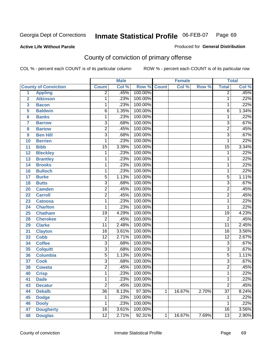### **Active Life Without Parole**

### Produced for **General Distribution**

# County of conviction of primary offense

|                |                             |                 | <b>Male</b> |                    |   | <b>Female</b> |       |                 | <b>Total</b> |
|----------------|-----------------------------|-----------------|-------------|--------------------|---|---------------|-------|-----------------|--------------|
|                | <b>County of Conviction</b> | <b>Count</b>    | Col %       | <b>Row % Count</b> |   | Col %         | Row % | <b>Total</b>    | Col %        |
| 1              | <b>Appling</b>              | $\overline{2}$  | .45%        | 100.00%            |   |               |       | $\overline{2}$  | .45%         |
| $\overline{2}$ | <b>Atkinson</b>             | 1               | .23%        | 100.00%            |   |               |       | 1               | .22%         |
| 3              | <b>Bacon</b>                | $\mathbf{1}$    | .23%        | 100.00%            |   |               |       | 1               | .22%         |
| 5              | <b>Baldwin</b>              | 6               | 1.35%       | 100.00%            |   |               |       | 6               | 1.34%        |
| $6\phantom{a}$ | <b>Banks</b>                | 1               | .23%        | 100.00%            |   |               |       | $\mathbf{1}$    | .22%         |
| $\overline{7}$ | <b>Barrow</b>               | $\overline{3}$  | .68%        | 100.00%            |   |               |       | $\overline{3}$  | .67%         |
| 8              | <b>Bartow</b>               | $\overline{2}$  | .45%        | 100.00%            |   |               |       | $\overline{2}$  | .45%         |
| 9              | <b>Ben Hill</b>             | $\overline{3}$  | .68%        | 100.00%            |   |               |       | $\overline{3}$  | .67%         |
| 10             | <b>Berrien</b>              | $\overline{1}$  | .23%        | 100.00%            |   |               |       | 1               | .22%         |
| 11             | <b>Bibb</b>                 | $\overline{15}$ | 3.39%       | 100.00%            |   |               |       | $\overline{15}$ | 3.34%        |
| 12             | <b>Bleckley</b>             | 1               | .23%        | 100.00%            |   |               |       | $\mathbf 1$     | .22%         |
| 13             | <b>Brantley</b>             | 1               | .23%        | 100.00%            |   |               |       | 1               | .22%         |
| 14             | <b>Brooks</b>               | 1               | .23%        | 100.00%            |   |               |       | $\mathbf{1}$    | .22%         |
| 16             | <b>Bulloch</b>              | 1               | .23%        | 100.00%            |   |               |       | 1               | .22%         |
| 17             | <b>Burke</b>                | $\overline{5}$  | 1.13%       | 100.00%            |   |               |       | $\overline{5}$  | 1.11%        |
| 18             | <b>Butts</b>                | $\overline{3}$  | .68%        | 100.00%            |   |               |       | 3               | .67%         |
| 20             | <b>Camden</b>               | $\overline{2}$  | .45%        | 100.00%            |   |               |       | $\overline{2}$  | .45%         |
| 22             | <b>Carroll</b>              | $\overline{2}$  | .45%        | 100.00%            |   |               |       | $\overline{2}$  | .45%         |
| 23             | <b>Catoosa</b>              | 1               | .23%        | 100.00%            |   |               |       | $\mathbf 1$     | .22%         |
| 24             | <b>Charlton</b>             | 1               | .23%        | 100.00%            |   |               |       | 1               | .22%         |
| 25             | <b>Chatham</b>              | $\overline{19}$ | 4.29%       | 100.00%            |   |               |       | 19              | 4.23%        |
| 28             | <b>Cherokee</b>             | $\overline{2}$  | .45%        | 100.00%            |   |               |       | $\overline{2}$  | .45%         |
| 29             | <b>Clarke</b>               | $\overline{11}$ | 2.48%       | 100.00%            |   |               |       | $\overline{11}$ | 2.45%        |
| 31             | <b>Clayton</b>              | 16              | 3.61%       | 100.00%            |   |               |       | 16              | 3.56%        |
| 33             | <b>Cobb</b>                 | $\overline{12}$ | 2.71%       | 100.00%            |   |               |       | $\overline{12}$ | 2.67%        |
| 34             | <b>Coffee</b>               | $\overline{3}$  | .68%        | 100.00%            |   |               |       | 3               | .67%         |
| 35             | <b>Colquitt</b>             | $\overline{3}$  | .68%        | 100.00%            |   |               |       | $\overline{3}$  | .67%         |
| 36             | <b>Columbia</b>             | $\overline{5}$  | 1.13%       | 100.00%            |   |               |       | $\overline{5}$  | 1.11%        |
| 37             | <b>Cook</b>                 | $\overline{3}$  | .68%        | 100.00%            |   |               |       | $\overline{3}$  | .67%         |
| 38             | <b>Coweta</b>               | $\overline{2}$  | .45%        | 100.00%            |   |               |       | $\overline{2}$  | .45%         |
| 40             | <b>Crisp</b>                | 1               | .23%        | 100.00%            |   |               |       | 1               | .22%         |
| 41             | <b>Dade</b>                 | 1               | .23%        | 100.00%            |   |               |       | 1               | .22%         |
| 43             | <b>Decatur</b>              | $\overline{2}$  | .45%        | 100.00%            |   |               |       | $\overline{2}$  | .45%         |
| 44             | <b>Dekalb</b>               | $\overline{36}$ | 8.13%       | 97.30%             | 1 | 16.67%        | 2.70% | $\overline{37}$ | 8.24%        |
| 45             | <b>Dodge</b>                | 1               | .23%        | 100.00%            |   |               |       | 1               | .22%         |
| 46             | <b>Dooly</b>                | 1               | .23%        | 100.00%            |   |               |       | 1               | .22%         |
| 47             | <b>Dougherty</b>            | $\overline{16}$ | 3.61%       | 100.00%            |   |               |       | 16              | 3.56%        |
| 48             | <b>Douglas</b>              | $\overline{12}$ | 2.71%       | 92.31%             | 1 | 16.67%        | 7.69% | 13              | 2.90%        |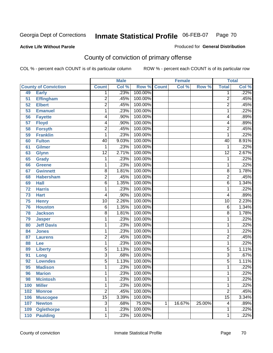Produced for **General Distribution**

## **Active Life Without Parole**

# County of conviction of primary offense

|     |                             |                 | <b>Male</b> |                    |   | <b>Female</b> |        |                 | <b>Total</b> |
|-----|-----------------------------|-----------------|-------------|--------------------|---|---------------|--------|-----------------|--------------|
|     | <b>County of Conviction</b> | <b>Count</b>    | Col %       | <b>Row % Count</b> |   | Col %         | Row %  | <b>Total</b>    | CoI%         |
| 49  | <b>Early</b>                | 1               | .23%        | 100.00%            |   |               |        | 1               | .22%         |
| 51  | <b>Effingham</b>            | $\overline{2}$  | .45%        | 100.00%            |   |               |        | $\overline{2}$  | .45%         |
| 52  | <b>Elbert</b>               | $\overline{2}$  | .45%        | 100.00%            |   |               |        | $\overline{2}$  | .45%         |
| 53  | <b>Emanuel</b>              | 1               | .23%        | 100.00%            |   |               |        | 1               | .22%         |
| 56  | <b>Fayette</b>              | 4               | .90%        | 100.00%            |   |               |        | 4               | .89%         |
| 57  | <b>Floyd</b>                | 4               | .90%        | 100.00%            |   |               |        | 4               | .89%         |
| 58  | <b>Forsyth</b>              | $\overline{2}$  | .45%        | 100.00%            |   |               |        | $\overline{2}$  | .45%         |
| 59  | <b>Franklin</b>             | 1               | .23%        | 100.00%            |   |               |        | 1               | .22%         |
| 60  | <b>Fulton</b>               | $\overline{40}$ | 9.03%       | 100.00%            |   |               |        | 40              | 8.91%        |
| 61  | <b>Gilmer</b>               | 1               | .23%        | 100.00%            |   |               |        | 1               | .22%         |
| 63  | <b>Glynn</b>                | $\overline{12}$ | 2.71%       | 100.00%            |   |               |        | $\overline{12}$ | 2.67%        |
| 65  | <b>Grady</b>                | 1               | .23%        | 100.00%            |   |               |        | 1               | .22%         |
| 66  | Greene                      | 1               | .23%        | 100.00%            |   |               |        | 1               | .22%         |
| 67  | <b>Gwinnett</b>             | $\overline{8}$  | 1.81%       | 100.00%            |   |               |        | $\overline{8}$  | 1.78%        |
| 68  | <b>Habersham</b>            | $\overline{2}$  | .45%        | 100.00%            |   |               |        | $\overline{2}$  | .45%         |
| 69  | <b>Hall</b>                 | 6               | 1.35%       | 100.00%            |   |               |        | 6               | 1.34%        |
| 72  | <b>Harris</b>               | 1               | .23%        | 100.00%            |   |               |        | 1               | .22%         |
| 73  | <b>Hart</b>                 | 4               | $.90\%$     | 100.00%            |   |               |        | 4               | .89%         |
| 75  | <b>Henry</b>                | $\overline{10}$ | 2.26%       | 100.00%            |   |               |        | 10              | 2.23%        |
| 76  | <b>Houston</b>              | 6               | 1.35%       | 100.00%            |   |               |        | 6               | 1.34%        |
| 78  | <b>Jackson</b>              | $\overline{8}$  | 1.81%       | 100.00%            |   |               |        | 8               | 1.78%        |
| 79  | <b>Jasper</b>               | 1               | .23%        | 100.00%            |   |               |        | 1               | .22%         |
| 80  | <b>Jeff Davis</b>           | 1               | .23%        | 100.00%            |   |               |        | 1               | .22%         |
| 84  | <b>Jones</b>                | 1               | .23%        | 100.00%            |   |               |        | 1               | .22%         |
| 87  | <b>Laurens</b>              | $\overline{2}$  | .45%        | 100.00%            |   |               |        | $\overline{2}$  | .45%         |
| 88  | Lee                         | 1               | .23%        | 100.00%            |   |               |        | 1               | .22%         |
| 89  | <b>Liberty</b>              | $\overline{5}$  | 1.13%       | 100.00%            |   |               |        | 5               | 1.11%        |
| 91  | Long                        | $\overline{3}$  | .68%        | 100.00%            |   |               |        | 3               | .67%         |
| 92  | <b>Lowndes</b>              | $\overline{5}$  | 1.13%       | 100.00%            |   |               |        | $\overline{5}$  | 1.11%        |
| 95  | <b>Madison</b>              | 1               | .23%        | 100.00%            |   |               |        | 1               | .22%         |
| 96  | <b>Marion</b>               | 1               | .23%        | 100.00%            |   |               |        | 1               | .22%         |
| 98  | <b>Mcintosh</b>             | 1               | .23%        | 100.00%            |   |               |        | 1               | .22%         |
| 100 | <b>Miller</b>               | 1               | .23%        | 100.00%            |   |               |        | 1               | .22%         |
| 102 | <b>Monroe</b>               | $\overline{2}$  | .45%        | 100.00%            |   |               |        | $\overline{2}$  | .45%         |
| 106 | <b>Muscogee</b>             | $\overline{15}$ | 3.39%       | 100.00%            |   |               |        | $\overline{15}$ | 3.34%        |
| 107 | <b>Newton</b>               | 3               | .68%        | 75.00%             | 1 | 16.67%        | 25.00% | 4               | .89%         |
| 109 | <b>Oglethorpe</b>           | 1               | .23%        | 100.00%            |   |               |        | 1               | .22%         |
| 110 | <b>Paulding</b>             | 1               | .23%        | 100.00%            |   |               |        | 1               | .22%         |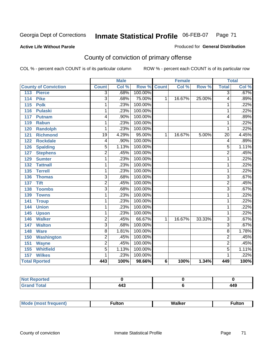### **Active Life Without Parole**

### Produced for **General Distribution**

# County of conviction of primary offense

|                                 | <b>Male</b>             |       | <b>Female</b>      |   |        | <b>Total</b> |                           |       |
|---------------------------------|-------------------------|-------|--------------------|---|--------|--------------|---------------------------|-------|
| <b>County of Conviction</b>     | <b>Count</b>            | Col % | <b>Row % Count</b> |   | Col %  | Row %        | <b>Total</b>              | Col % |
| <b>Pierce</b><br>113            | $\overline{3}$          | .68%  | 100.00%            |   |        |              | $\overline{3}$            | .67%  |
| <b>Pike</b><br>114              | $\overline{3}$          | .68%  | 75.00%             | 1 | 16.67% | 25.00%       | 4                         | .89%  |
| $\overline{115}$<br><b>Polk</b> | 1                       | .23%  | 100.00%            |   |        |              | 1                         | .22%  |
| <b>Pulaski</b><br>116           | 1                       | .23%  | 100.00%            |   |        |              | 1                         | .22%  |
| 117<br><b>Putnam</b>            | 4                       | .90%  | 100.00%            |   |        |              | 4                         | .89%  |
| <b>Rabun</b><br>119             | 1                       | .23%  | 100.00%            |   |        |              | 1                         | .22%  |
| <b>Randolph</b><br>120          | 1                       | .23%  | 100.00%            |   |        |              | 1                         | .22%  |
| 121<br><b>Richmond</b>          | $\overline{19}$         | 4.29% | 95.00%             | 1 | 16.67% | 5.00%        | $\overline{20}$           | 4.45% |
| <b>Rockdale</b><br>122          | 4                       | .90%  | 100.00%            |   |        |              | 4                         | .89%  |
| <b>Spalding</b><br>126          | 5                       | 1.13% | 100.00%            |   |        |              | 5                         | 1.11% |
| <b>Stephens</b><br>127          | $\overline{2}$          | .45%  | 100.00%            |   |        |              | 2                         | .45%  |
| <b>Sumter</b><br>129            | 1                       | .23%  | 100.00%            |   |        |              | 1                         | .22%  |
| 132<br><b>Tattnall</b>          | 1                       | .23%  | 100.00%            |   |        |              | 1                         | .22%  |
| <b>Terrell</b><br>135           | 1                       | .23%  | 100.00%            |   |        |              | 1                         | .22%  |
| 136<br><b>Thomas</b>            | $\overline{3}$          | .68%  | 100.00%            |   |        |              | $\overline{3}$            | .67%  |
| <b>Tift</b><br>137              | $\overline{2}$          | .45%  | 100.00%            |   |        |              | $\overline{2}$            | .45%  |
| 138<br><b>Toombs</b>            | $\overline{\mathbf{3}}$ | .68%  | 100.00%            |   |        |              | $\overline{\overline{3}}$ | .67%  |
| 139<br><b>Towns</b>             | 1                       | .23%  | 100.00%            |   |        |              | 1                         | .22%  |
| 141<br><b>Troup</b>             | 1                       | .23%  | 100.00%            |   |        |              | 1                         | .22%  |
| <b>Union</b><br>144             | 1                       | .23%  | 100.00%            |   |        |              | 1                         | .22%  |
| 145<br><b>Upson</b>             | 1                       | .23%  | 100.00%            |   |        |              | 1                         | .22%  |
| <b>Walker</b><br>146            | $\overline{2}$          | .45%  | 66.67%             | 1 | 16.67% | 33.33%       | $\overline{3}$            | .67%  |
| <b>Walton</b><br>147            | $\overline{3}$          | .68%  | 100.00%            |   |        |              | $\overline{3}$            | .67%  |
| <b>Ware</b><br>148              | 8                       | 1.81% | 100.00%            |   |        |              | 8                         | 1.78% |
| 150<br><b>Washington</b>        | $\overline{2}$          | .45%  | 100.00%            |   |        |              | $\overline{2}$            | .45%  |
| 151<br><b>Wayne</b>             | 2                       | .45%  | 100.00%            |   |        |              | 2                         | .45%  |
| <b>Whitfield</b><br>155         | $\overline{5}$          | 1.13% | 100.00%            |   |        |              | 5                         | 1.11% |
| <b>Wilkes</b><br>157            | 1                       | .23%  | 100.00%            |   |        |              | 1                         | .22%  |
| <b>Total Rported</b>            | 443                     | 100%  | 98.66%             | 6 | 100%   | 1.34%        | 449                       | 100%  |

| <b>Reported</b><br>N |     |     |
|----------------------|-----|-----|
| intal.               | 443 | 449 |

| M. |  | MI- | 1ltr |  |
|----|--|-----|------|--|
|    |  |     |      |  |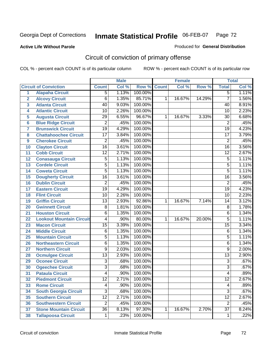## **Active Life Without Parole**

### Produced for **General Distribution**

# Circuit of conviction of primary offense

|                         |                                 | <b>Male</b>     |       | <b>Female</b> |              |        | <b>Total</b> |                 |       |
|-------------------------|---------------------------------|-----------------|-------|---------------|--------------|--------|--------------|-----------------|-------|
|                         | <b>Circuit of Conviction</b>    | <b>Count</b>    | Col % | Row %         | <b>Count</b> | Col %  | Row %        | <b>Total</b>    | Col % |
| 1                       | <b>Alapaha Circuit</b>          | $\overline{5}$  | 1.13% | 100.00%       |              |        |              | $\overline{5}$  | 1.11% |
| $\overline{2}$          | <b>Alcovy Circuit</b>           | $\overline{6}$  | 1.35% | 85.71%        | 1            | 16.67% | 14.29%       | $\overline{7}$  | 1.56% |
| $\overline{\mathbf{3}}$ | <b>Atlanta Circuit</b>          | 40              | 9.03% | 100.00%       |              |        |              | 40              | 8.91% |
| 4                       | <b>Atlantic Circuit</b>         | 10              | 2.26% | 100.00%       |              |        |              | 10              | 2.23% |
| 5                       | <b>Augusta Circuit</b>          | $\overline{29}$ | 6.55% | 96.67%        | 1            | 16.67% | 3.33%        | 30              | 6.68% |
| $6\phantom{a}$          | <b>Blue Ridge Circuit</b>       | $\overline{2}$  | .45%  | 100.00%       |              |        |              | $\overline{2}$  | .45%  |
| $\overline{7}$          | <b>Brunswick Circuit</b>        | $\overline{19}$ | 4.29% | 100.00%       |              |        |              | $\overline{19}$ | 4.23% |
| 8                       | <b>Chattahoochee Circuit</b>    | $\overline{17}$ | 3.84% | 100.00%       |              |        |              | $\overline{17}$ | 3.79% |
| 9                       | <b>Cherokee Circuit</b>         | $\overline{2}$  | .45%  | 100.00%       |              |        |              | $\overline{2}$  | .45%  |
| 10                      | <b>Clayton Circuit</b>          | $\overline{16}$ | 3.61% | 100.00%       |              |        |              | $\overline{16}$ | 3.56% |
| 11                      | <b>Cobb Circuit</b>             | $\overline{12}$ | 2.71% | 100.00%       |              |        |              | $\overline{12}$ | 2.67% |
| 12                      | <b>Conasauga Circuit</b>        | $\overline{5}$  | 1.13% | 100.00%       |              |        |              | 5               | 1.11% |
| 13                      | <b>Cordele Circuit</b>          | $\overline{5}$  | 1.13% | 100.00%       |              |        |              | $\overline{5}$  | 1.11% |
| 14                      | <b>Coweta Circuit</b>           | $\overline{5}$  | 1.13% | 100.00%       |              |        |              | $\overline{5}$  | 1.11% |
| 15                      | <b>Dougherty Circuit</b>        | $\overline{16}$ | 3.61% | 100.00%       |              |        |              | $\overline{16}$ | 3.56% |
| 16                      | <b>Dublin Circuit</b>           | $\overline{2}$  | .45%  | 100.00%       |              |        |              | $\overline{2}$  | .45%  |
| 17                      | <b>Eastern Circuit</b>          | $\overline{19}$ | 4.29% | 100.00%       |              |        |              | 19              | 4.23% |
| 18                      | <b>Flint Circuit</b>            | $\overline{10}$ | 2.26% | 100.00%       |              |        |              | 10              | 2.23% |
| 19                      | <b>Griffin Circuit</b>          | $\overline{13}$ | 2.93% | 92.86%        | $\mathbf{1}$ | 16.67% | 7.14%        | 14              | 3.12% |
| 20                      | <b>Gwinnett Circuit</b>         | $\overline{8}$  | 1.81% | 100.00%       |              |        |              | 8               | 1.78% |
| 21                      | <b>Houston Circuit</b>          | 6               | 1.35% | 100.00%       |              |        |              | $\overline{6}$  | 1.34% |
| 22                      | <b>Lookout Mountain Circuit</b> | 4               | .90%  | 80.00%        | 1            | 16.67% | 20.00%       | $\overline{5}$  | 1.11% |
| 23                      | <b>Macon Circuit</b>            | $\overline{15}$ | 3.39% | 100.00%       |              |        |              | $\overline{15}$ | 3.34% |
| 24                      | <b>Middle Circuit</b>           | $\overline{6}$  | 1.35% | 100.00%       |              |        |              | 6               | 1.34% |
| 25                      | <b>Mountain Circuit</b>         | $\overline{5}$  | 1.13% | 100.00%       |              |        |              | 5               | 1.11% |
| 26                      | <b>Northeastern Circuit</b>     | 6               | 1.35% | 100.00%       |              |        |              | 6               | 1.34% |
| 27                      | <b>Northern Circuit</b>         | 9               | 2.03% | 100.00%       |              |        |              | 9               | 2.00% |
| 28                      | <b>Ocmulgee Circuit</b>         | $\overline{13}$ | 2.93% | 100.00%       |              |        |              | $\overline{13}$ | 2.90% |
| 29                      | <b>Oconee Circuit</b>           | $\overline{3}$  | .68%  | 100.00%       |              |        |              | $\overline{3}$  | .67%  |
| 30                      | <b>Ogeechee Circuit</b>         | $\overline{3}$  | .68%  | 100.00%       |              |        |              | $\overline{3}$  | .67%  |
| $\overline{31}$         | <b>Pataula Circuit</b>          | 4               | .90%  | 100.00%       |              |        |              | 4               | .89%  |
| 32                      | <b>Piedmont Circuit</b>         | 12              | 2.71% | 100.00%       |              |        |              | 12              | 2.67% |
| 33                      | <b>Rome Circuit</b>             | 4               | .90%  | 100.00%       |              |        |              | 4               | .89%  |
| 34                      | <b>South Georgia Circuit</b>    | $\overline{3}$  | .68%  | 100.00%       |              |        |              | $\overline{3}$  | .67%  |
| 35                      | <b>Southern Circuit</b>         | $\overline{12}$ | 2.71% | 100.00%       |              |        |              | $\overline{12}$ | 2.67% |
| 36                      | <b>Southwestern Circuit</b>     | $\overline{2}$  | .45%  | 100.00%       |              |        |              | $\overline{2}$  | .45%  |
| 37                      | <b>Stone Mountain Circuit</b>   | $\overline{36}$ | 8.13% | 97.30%        | 1            | 16.67% | 2.70%        | $\overline{37}$ | 8.24% |
| 38                      | <b>Tallapoosa Circuit</b>       | $\mathbf 1$     | .23%  | 100.00%       |              |        |              | 1               | .22%  |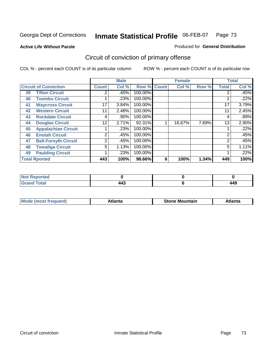Produced for **General Distribution**

#### **Active Life Without Parole**

# Circuit of conviction of primary offense

|    |                              |                 | <b>Male</b> |           |              | <b>Female</b> |       |              | <b>Total</b> |
|----|------------------------------|-----------------|-------------|-----------|--------------|---------------|-------|--------------|--------------|
|    | <b>Circuit of Conviction</b> | <b>Count</b>    | Col %       | Row %     | <b>Count</b> | Col %         | Row % | <b>Total</b> | Col %        |
| 39 | <b>Tifton Circuit</b>        | 2               | .45%        | 100.00%   |              |               |       |              | .45%         |
| 40 | <b>Toombs Circuit</b>        |                 | .23%        | 100.00%   |              |               |       |              | .22%         |
| 41 | <b>Waycross Circuit</b>      | 17              | 3.84%       | 100.00%   |              |               |       | 17           | 3.79%        |
| 42 | <b>Western Circuit</b>       | 11              | 2.48%       | 100.00%   |              |               |       | 11           | 2.45%        |
| 43 | <b>Rockdale Circuit</b>      | 4               | .90%        | 100.00%   |              |               |       | 4            | .89%         |
| 44 | <b>Douglas Circuit</b>       | 12 <sup>2</sup> | 2.71%       | $92.31\%$ |              | 16.67%        | 7.69% | 13           | 2.90%        |
| 45 | <b>Appalachian Circuit</b>   |                 | .23%        | 100.00%   |              |               |       |              | .22%         |
| 46 | <b>Enotah Circuit</b>        | 2               | .45%        | 100.00%   |              |               |       | 2            | .45%         |
| 47 | <b>Bell-Forsyth Circuit</b>  | 2               | .45%        | 100.00%   |              |               |       | 2            | .45%         |
| 48 | <b>Towaliga Circuit</b>      | 5               | 1.13%       | 100.00%   |              |               |       | 5            | 1.11%        |
| 49 | <b>Paulding Circuit</b>      |                 | .23%        | 100.00%   |              |               |       |              | .22%         |
|    | <b>Total Rported</b>         | 443             | 100%        | 98.66%    | 6            | 100%          | 1.34% | 449          | 100%         |

| <b>eported</b><br><b>N</b> |          |     |
|----------------------------|----------|-----|
| <b>c</b> otal<br>$\sim$    | .<br>44. | 449 |

| īМ<br>----<br>taın<br>----<br>514<br>MOL<br>нс |
|------------------------------------------------|
|------------------------------------------------|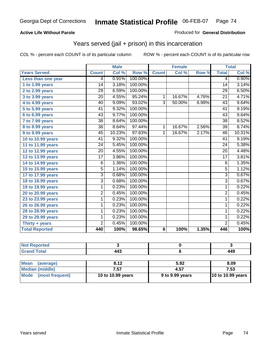#### **Active Life Without Parole**

#### Produced for **General Distribution**

### Years served (jail + prison) in this incarceration

|                       |                 | <b>Male</b> |         |                 | <b>Female</b> |                     |                 | <b>Total</b>               |
|-----------------------|-----------------|-------------|---------|-----------------|---------------|---------------------|-----------------|----------------------------|
| <b>Years Served</b>   | <b>Count</b>    | Col %       | Row %   | <b>Count</b>    | Col %         | Row %               | <b>Total</b>    | $\overline{\text{Col }\%}$ |
| Less than one year    | 4               | 0.91%       | 100.00% |                 |               |                     | 4               | 0.90%                      |
| 1 to 1.99 years       | 14              | 3.18%       | 100.00% |                 |               |                     | 14              | 3.14%                      |
| 2 to 2.99 years       | 29              | 6.59%       | 100.00% |                 |               |                     | 29              | 6.50%                      |
| 3 to 3.99 years       | $\overline{20}$ | 4.55%       | 95.24%  | $\mathbf{1}$    | 16.67%        | 4.76%               | $\overline{21}$ | 4.71%                      |
| 4 to 4.99 years       | 40              | 9.09%       | 93.02%  | $\overline{3}$  | 50.00%        | 6.98%               | 43              | 9.64%                      |
| $5$ to $5.99$ years   | 41              | 9.32%       | 100.00% |                 |               |                     | 41              | 9.19%                      |
| $6$ to $6.99$ years   | 43              | 9.77%       | 100.00% |                 |               |                     | 43              | 9.64%                      |
| $7$ to $7.99$ years   | $\overline{38}$ | 8.64%       | 100.00% |                 |               |                     | $\overline{38}$ | 8.52%                      |
| 8 to 8.99 years       | 38              | 8.64%       | 97.44%  | 1               | 16.67%        | 2.56%               | 39              | 8.74%                      |
| 9 to 9.99 years       | $\overline{45}$ | 10.23%      | 97.83%  | $\mathbf{1}$    | 16.67%        | 2.17%               | 46              | 10.31%                     |
| 10 to 10.99 years     | 41              | 9.32%       | 100.00% |                 |               |                     | 41              | 9.19%                      |
| 11 to 11.99 years     | 24              | 5.45%       | 100.00% |                 |               |                     | 24              | 5.38%                      |
| 12 to 12.99 years     | $\overline{20}$ | 4.55%       | 100.00% |                 |               |                     | $\overline{20}$ | 4.48%                      |
| 13 to 13.99 years     | $\overline{17}$ | 3.86%       | 100.00% |                 |               |                     | $\overline{17}$ | 3.81%                      |
| 14 to 14.99 years     | 6               | 1.36%       | 100.00% |                 |               |                     | 6               | 1.35%                      |
| 15 to 15.99 years     | $\overline{5}$  | 1.14%       | 100.00% |                 |               |                     | $\overline{5}$  | 1.12%                      |
| 17 to 17.99 years     | 3               | 0.68%       | 100.00% |                 |               |                     | $\overline{3}$  | 0.67%                      |
| 18 to 18.99 years     | 3               | 0.68%       | 100.00% |                 |               |                     | 3               | 0.67%                      |
| 19 to 19.99 years     | 1               | 0.23%       | 100.00% |                 |               |                     | $\overline{1}$  | 0.22%                      |
| 20 to 20.99 years     | $\overline{2}$  | 0.45%       | 100.00% |                 |               |                     | $\overline{2}$  | 0.45%                      |
| 23 to 23.99 years     | 1               | 0.23%       | 100.00% |                 |               |                     | 1               | 0.22%                      |
| 26 to 26.99 years     | 1               | 0.23%       | 100.00% |                 |               |                     | 1               | 0.22%                      |
| 28 to 28.99 years     | 1               | 0.23%       | 100.00% |                 |               |                     | 1               | 0.22%                      |
| 29 to 29.99 years     | 1               | 0.23%       | 100.00% |                 |               |                     | 1               | 0.22%                      |
| Thirty + years        | 2               | 0.45%       | 100.00% |                 |               |                     | $\overline{2}$  | 0.45%                      |
| <b>Total Reported</b> | 440             | 100%        | 98.65%  | $6\phantom{1}6$ | 100%          | $\overline{1.35\%}$ | 446             | 100%                       |

| <b>Not Reported</b>            |                   |                 |                   |
|--------------------------------|-------------------|-----------------|-------------------|
| <b>Grand Total</b>             | 443               |                 | 449               |
|                                |                   |                 |                   |
| <b>Mean</b><br>(average)       | 8.12              | 5.92            | 8.09              |
| <b>Median (middle)</b>         | 7.57              | 4.57            | 7.53              |
| <b>Mode</b><br>(most frequent) | 10 to 10.99 years | 9 to 9.99 years | 10 to 10.99 years |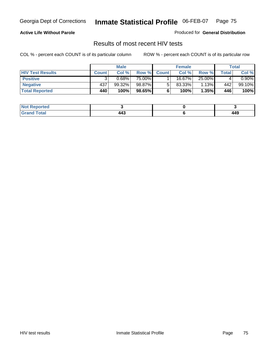#### **Active Life Without Parole**

Produced for **General Distribution**

### Results of most recent HIV tests

|                         |              | <b>Male</b> |        |              | <b>Female</b> |        |       | Total    |
|-------------------------|--------------|-------------|--------|--------------|---------------|--------|-------|----------|
| <b>HIV Test Results</b> | <b>Count</b> | Col %       | Row %  | <b>Count</b> | Col %         | Row %  | Total | Col %    |
| <b>Positive</b>         |              | 0.68%       | 75.00% |              | 16.67%        | 25.00% |       | $0.90\%$ |
| <b>Negative</b>         | 437          | 99.32%      | 98.87% |              | $83.33\%$     | 1.13%  | 442   | 99.10%   |
| <b>Total Reported</b>   | 440          | 100%        | 98.65% |              | 100%          | 1.35%  | 446   | 100%     |

| <b>Not Reported</b>  |                                          |     |
|----------------------|------------------------------------------|-----|
| <b>Total</b><br>Gr2r | $\Lambda \Lambda^{\sigma}$<br>. .<br>___ | 449 |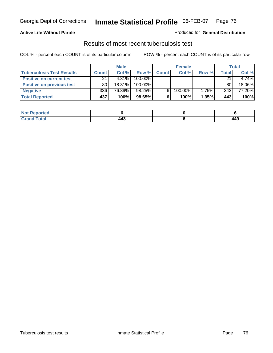#### **Active Life Without Parole**

#### Produced for **General Distribution**

### Results of most recent tuberculosis test

|                                  |              | <b>Male</b> |         |              | <b>Female</b> |          |              | Total  |
|----------------------------------|--------------|-------------|---------|--------------|---------------|----------|--------------|--------|
| <b>Tuberculosis Test Results</b> | <b>Count</b> | Col%        | Row %   | <b>Count</b> | Col%          | Row %    | <b>Total</b> | Col %  |
| <b>Positive on current test</b>  | 21           | $4.81\%$    | 100.00% |              |               |          | 21           | 4.74%  |
| <b>Positive on previous test</b> | 80           | $18.31\%$   | 100.00% |              |               |          | 80           | 18.06% |
| <b>Negative</b>                  | 336          | 76.89%      | 98.25%  |              | 100.00%       | $1.75\%$ | 342          | 77.20% |
| <b>Total Reported</b>            | 437          | 100%        | 98.65%  | 6            | 100%          | $1.35\%$ | 443          | 100%   |

| <b>Not</b><br><b>Reported</b> |                    |     |
|-------------------------------|--------------------|-----|
| <b>Total</b>                  | $\bm{M}$<br>$\sim$ | 449 |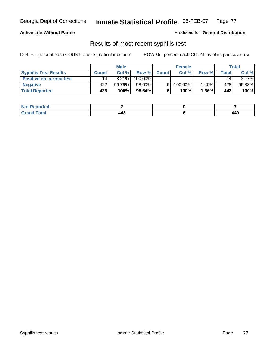#### **Active Life Without Parole**

Produced for **General Distribution**

### Results of most recent syphilis test

|                                 |       | <b>Male</b> |           |              | <b>Female</b> |          |              | <b>Total</b> |
|---------------------------------|-------|-------------|-----------|--------------|---------------|----------|--------------|--------------|
| <b>Syphilis Test Results</b>    | Count | Col%        | Row %     | <b>Count</b> | Col%          | Row %    | <b>Total</b> | Col %        |
| <b>Positive on current test</b> | 14    | 3.21%       | 100.00%   |              |               |          | 14           | $3.17\%$     |
| <b>Negative</b>                 | 422   | 96.79%      | 98.60%    |              | 100.00%       | 1.40%    | 428          | 96.83%       |
| <b>Total Reported</b>           | 436   | 100%        | $98.64\%$ |              | 100%          | $1.36\%$ | 442          | 100%         |

| <b>Not Reported</b> |          |     |
|---------------------|----------|-----|
| <b>Grand Total</b>  | .<br>___ | 449 |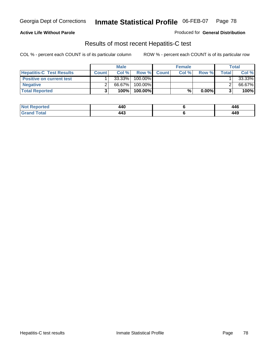#### **Active Life Without Parole**

Produced for **General Distribution**

### Results of most recent Hepatitis-C test

|                                 |              | <b>Male</b> |         |             | <b>Female</b> |          |              | Total  |
|---------------------------------|--------------|-------------|---------|-------------|---------------|----------|--------------|--------|
| <b>Hepatitis-C Test Results</b> | <b>Count</b> | Col%        |         | Row % Count | Col%          | Row %    | <b>Total</b> | Col %  |
| <b>Positive on current test</b> |              | 33.33%      | 100.00% |             |               |          |              | 33.33% |
| <b>Negative</b>                 |              | 66.67%      | 100.00% |             |               |          |              | 66.67% |
| <b>Total Reported</b>           |              | 100%        | 100.00% |             | %             | $0.00\%$ |              | 100%   |

| <b>Not Reported</b>  | AAC<br>44 U                        | 446 |
|----------------------|------------------------------------|-----|
| <b>Fotal</b><br>Gret | $\Lambda \Lambda^{\bullet}$<br>┯┯┙ | 449 |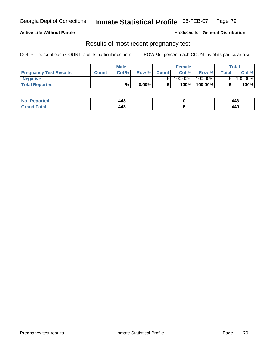#### **Active Life Without Parole**

Produced for **General Distribution**

### Results of most recent pregnancy test

|                               | Male         |       |          | <b>Female</b> |         |            | Total |         |
|-------------------------------|--------------|-------|----------|---------------|---------|------------|-------|---------|
| <b>Pregnancy Test Results</b> | <b>Count</b> | Col % | Row %    | <b>Count</b>  | Col %   | Row %      | Total | Col %   |
| <b>Negative</b>               |              |       |          |               | 100.00% | $100.00\%$ |       | 100.00% |
| <b>Total Reported</b>         |              | %     | $0.00\%$ |               | 100%    | 100.00%    |       | 100%    |

| <b>Not Reported</b> | $\Lambda \Lambda^{\bullet}$<br>44.<br>__ | د44 |
|---------------------|------------------------------------------|-----|
| <b>Grand Total</b>  | $\bm{M}$<br>44.<br>- - -                 | 449 |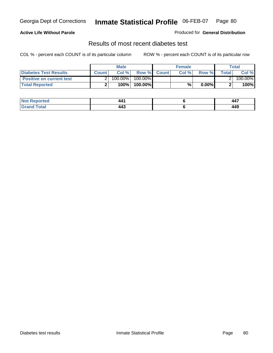#### **Active Life Without Parole**

#### Produced for **General Distribution**

### Results of most recent diabetes test

|                                 |              | Male    |            |              | <b>Female</b> |          |              | Total   |
|---------------------------------|--------------|---------|------------|--------------|---------------|----------|--------------|---------|
| Diabetes Test Results           | <b>Count</b> | Col %   | Row %      | <b>Count</b> | Col %         | Row %I   | <b>Total</b> | Col %   |
| <b>Positive on current test</b> |              | 100.00% | $100.00\%$ |              |               |          |              | 100.00% |
| <b>Total Reported</b>           |              | 100%    | 100.00%    |              | %             | $0.00\%$ |              | 100%    |

| Not i<br>Reported | лл                       |     |
|-------------------|--------------------------|-----|
| Total<br>Gran     | $\bm{M}$<br>44.<br>- - - | 449 |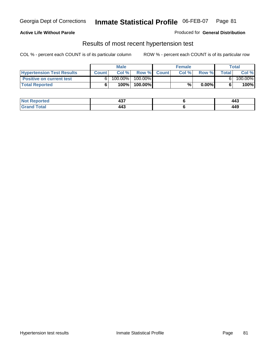#### **Active Life Without Parole**

#### Produced for **General Distribution**

### Results of most recent hypertension test

|                                  |              | <b>Male</b> |            |             | <b>Female</b> |          |       | <b>Total</b> |
|----------------------------------|--------------|-------------|------------|-------------|---------------|----------|-------|--------------|
| <b>Hypertension Test Results</b> | <b>Count</b> | Col %       |            | Row % Count | Col%          | Row %    | Total | Col %        |
| <b>Positive on current test</b>  |              | 100.00%     | $100.00\%$ |             |               |          |       | 100.00%      |
| <b>Total Reported</b>            |              | 100%        | 100.00%    |             | %             | $0.00\%$ |       | 100%         |

| <b>Reported</b>      | $-1 -$<br>ישד<br>$   -$ | 443 |
|----------------------|-------------------------|-----|
| <b>otal</b><br>_____ | 11°<br>44J              | 449 |